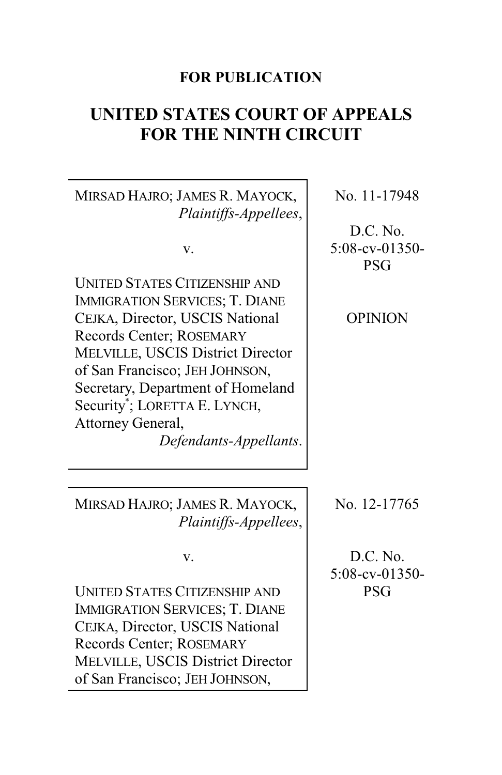# **FOR PUBLICATION**

# **UNITED STATES COURT OF APPEALS FOR THE NINTH CIRCUIT**

MIRSAD HAJRO; JAMES R. MAYOCK, *Plaintiffs-Appellees*,

v.

UNITED STATES CITIZENSHIP AND IMMIGRATION SERVICES; T. DIANE CEJKA, Director, USCIS National Records Center; ROSEMARY MELVILLE, USCIS District Director of San Francisco; JEH JOHNSON, Secretary, Department of Homeland Security\* ; LORETTA E. LYNCH, Attorney General,

*Defendants-Appellants*.

MIRSAD HAJRO; JAMES R. MAYOCK, *Plaintiffs-Appellees*,

v.

UNITED STATES CITIZENSHIP AND IMMIGRATION SERVICES; T. DIANE CEJKA, Director, USCIS National Records Center; ROSEMARY MELVILLE, USCIS District Director of San Francisco; JEH JOHNSON,

No. 11-17948

D.C. No. 5:08-cv-01350- PSG

OPINION

No. 12-17765

D.C. No. 5:08-cv-01350- PSG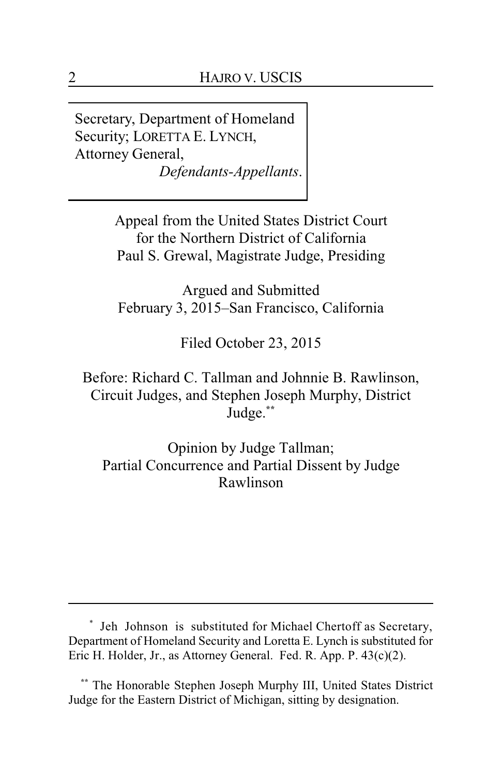Secretary, Department of Homeland Security; LORETTA E. LYNCH, Attorney General, *Defendants-Appellants*.

> Appeal from the United States District Court for the Northern District of California Paul S. Grewal, Magistrate Judge, Presiding

Argued and Submitted February 3, 2015–San Francisco, California

Filed October 23, 2015

Before: Richard C. Tallman and Johnnie B. Rawlinson, Circuit Judges, and Stephen Joseph Murphy, District Judge.**\*\***

Opinion by Judge Tallman; Partial Concurrence and Partial Dissent by Judge Rawlinson

<sup>\*</sup> Jeh Johnson is substituted for Michael Chertoff as Secretary, Department of Homeland Security and Loretta E. Lynch is substituted for Eric H. Holder, Jr., as Attorney General. Fed. R. App. P. 43(c)(2).

**<sup>\*\*</sup>** The Honorable Stephen Joseph Murphy III, United States District Judge for the Eastern District of Michigan, sitting by designation.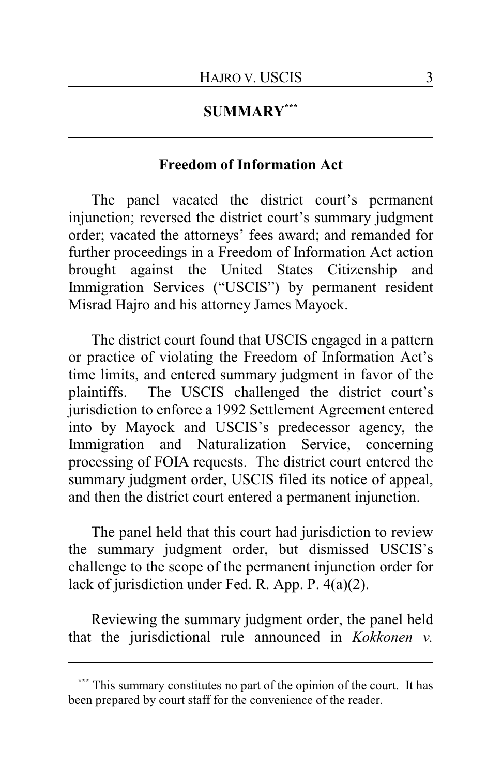# **SUMMARY\*\*\***

# **Freedom of Information Act**

The panel vacated the district court's permanent injunction; reversed the district court's summary judgment order; vacated the attorneys' fees award; and remanded for further proceedings in a Freedom of Information Act action brought against the United States Citizenship and Immigration Services ("USCIS") by permanent resident Misrad Hajro and his attorney James Mayock.

The district court found that USCIS engaged in a pattern or practice of violating the Freedom of Information Act's time limits, and entered summary judgment in favor of the plaintiffs. The USCIS challenged the district court's jurisdiction to enforce a 1992 Settlement Agreement entered into by Mayock and USCIS's predecessor agency, the Immigration and Naturalization Service, concerning processing of FOIA requests. The district court entered the summary judgment order, USCIS filed its notice of appeal, and then the district court entered a permanent injunction.

The panel held that this court had jurisdiction to review the summary judgment order, but dismissed USCIS's challenge to the scope of the permanent injunction order for lack of jurisdiction under Fed. R. App. P. 4(a)(2).

Reviewing the summary judgment order, the panel held that the jurisdictional rule announced in *Kokkonen v.*

This summary constitutes no part of the opinion of the court. It has been prepared by court staff for the convenience of the reader.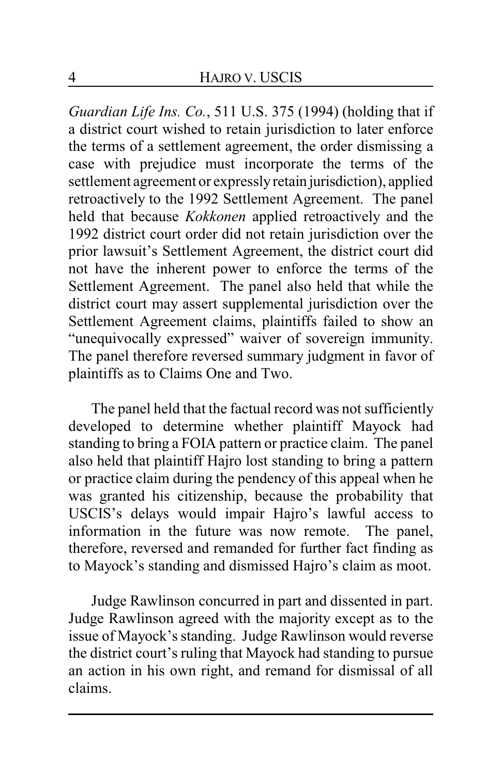*Guardian Life Ins. Co.*, 511 U.S. 375 (1994) (holding that if a district court wished to retain jurisdiction to later enforce the terms of a settlement agreement, the order dismissing a case with prejudice must incorporate the terms of the settlement agreement or expresslyretain jurisdiction), applied retroactively to the 1992 Settlement Agreement. The panel held that because *Kokkonen* applied retroactively and the 1992 district court order did not retain jurisdiction over the prior lawsuit's Settlement Agreement, the district court did not have the inherent power to enforce the terms of the Settlement Agreement. The panel also held that while the district court may assert supplemental jurisdiction over the Settlement Agreement claims, plaintiffs failed to show an "unequivocally expressed" waiver of sovereign immunity. The panel therefore reversed summary judgment in favor of plaintiffs as to Claims One and Two.

The panel held that the factual record was not sufficiently developed to determine whether plaintiff Mayock had standing to bring a FOIA pattern or practice claim. The panel also held that plaintiff Hajro lost standing to bring a pattern or practice claim during the pendency of this appeal when he was granted his citizenship, because the probability that USCIS's delays would impair Hajro's lawful access to information in the future was now remote. The panel, therefore, reversed and remanded for further fact finding as to Mayock's standing and dismissed Hajro's claim as moot.

Judge Rawlinson concurred in part and dissented in part. Judge Rawlinson agreed with the majority except as to the issue of Mayock's standing. Judge Rawlinson would reverse the district court's ruling that Mayock had standing to pursue an action in his own right, and remand for dismissal of all claims.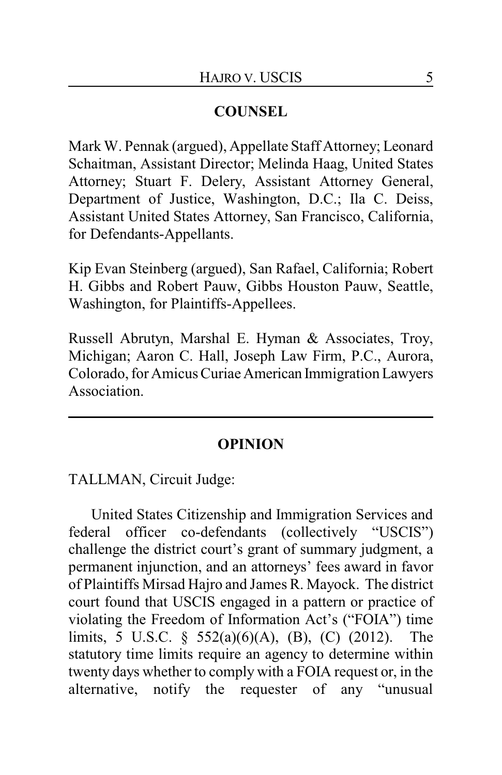# **COUNSEL**

Mark W. Pennak (argued), Appellate Staff Attorney; Leonard Schaitman, Assistant Director; Melinda Haag, United States Attorney; Stuart F. Delery, Assistant Attorney General, Department of Justice, Washington, D.C.; Ila C. Deiss, Assistant United States Attorney, San Francisco, California, for Defendants-Appellants.

Kip Evan Steinberg (argued), San Rafael, California; Robert H. Gibbs and Robert Pauw, Gibbs Houston Pauw, Seattle, Washington, for Plaintiffs-Appellees.

Russell Abrutyn, Marshal E. Hyman & Associates, Troy, Michigan; Aaron C. Hall, Joseph Law Firm, P.C., Aurora, Colorado, for Amicus Curiae American Immigration Lawyers Association.

### **OPINION**

TALLMAN, Circuit Judge:

United States Citizenship and Immigration Services and federal officer co-defendants (collectively "USCIS") challenge the district court's grant of summary judgment, a permanent injunction, and an attorneys' fees award in favor of Plaintiffs Mirsad Hajro and James R. Mayock. The district court found that USCIS engaged in a pattern or practice of violating the Freedom of Information Act's ("FOIA") time limits, 5 U.S.C. § 552(a)(6)(A), (B), (C) (2012). The statutory time limits require an agency to determine within twenty days whether to comply with a FOIA request or, in the alternative, notify the requester of any "unusual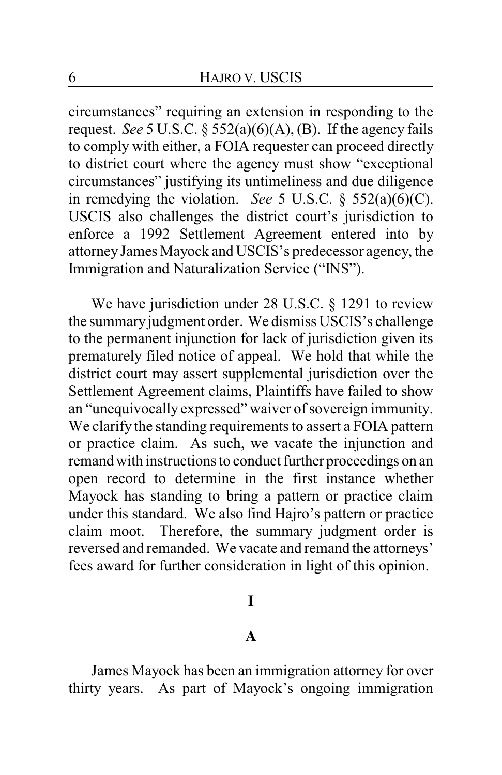circumstances" requiring an extension in responding to the request. *See* 5 U.S.C. § 552(a)(6)(A), (B). If the agency fails to comply with either, a FOIA requester can proceed directly to district court where the agency must show "exceptional circumstances" justifying its untimeliness and due diligence in remedying the violation. *See* 5 U.S.C. § 552(a)(6)(C). USCIS also challenges the district court's jurisdiction to enforce a 1992 Settlement Agreement entered into by attorney James Mayock and USCIS's predecessor agency, the Immigration and Naturalization Service ("INS").

We have jurisdiction under 28 U.S.C. § 1291 to review the summaryjudgment order. We dismiss USCIS's challenge to the permanent injunction for lack of jurisdiction given its prematurely filed notice of appeal. We hold that while the district court may assert supplemental jurisdiction over the Settlement Agreement claims, Plaintiffs have failed to show an "unequivocally expressed" waiver of sovereign immunity. We clarify the standing requirements to assert a FOIA pattern or practice claim. As such, we vacate the injunction and remand with instructions to conduct further proceedings on an open record to determine in the first instance whether Mayock has standing to bring a pattern or practice claim under this standard. We also find Hajro's pattern or practice claim moot. Therefore, the summary judgment order is reversed and remanded. We vacate and remand the attorneys' fees award for further consideration in light of this opinion.

### **I**

### **A**

James Mayock has been an immigration attorney for over thirty years. As part of Mayock's ongoing immigration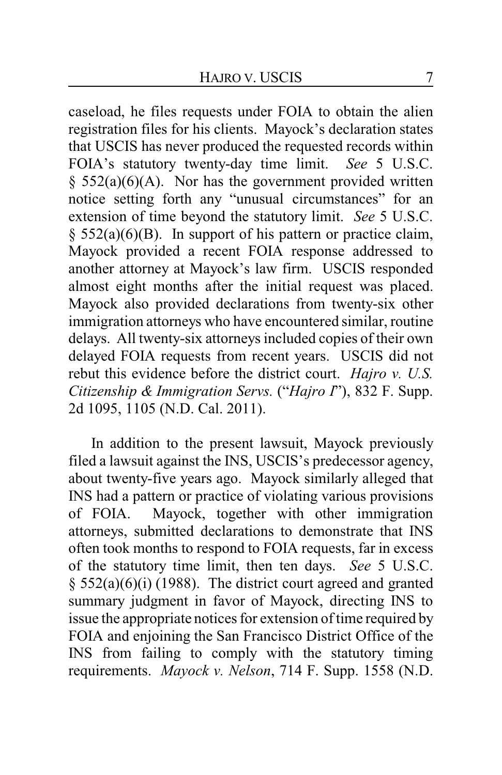caseload, he files requests under FOIA to obtain the alien registration files for his clients. Mayock's declaration states that USCIS has never produced the requested records within FOIA's statutory twenty-day time limit. *See* 5 U.S.C.  $§$  552(a)(6)(A). Nor has the government provided written notice setting forth any "unusual circumstances" for an extension of time beyond the statutory limit. *See* 5 U.S.C.  $§$  552(a)(6)(B). In support of his pattern or practice claim, Mayock provided a recent FOIA response addressed to another attorney at Mayock's law firm. USCIS responded almost eight months after the initial request was placed. Mayock also provided declarations from twenty-six other immigration attorneys who have encountered similar, routine delays. All twenty-six attorneys included copies of their own delayed FOIA requests from recent years. USCIS did not rebut this evidence before the district court. *Hajro v. U.S. Citizenship & Immigration Servs.* ("*Hajro I*"), 832 F. Supp. 2d 1095, 1105 (N.D. Cal. 2011).

In addition to the present lawsuit, Mayock previously filed a lawsuit against the INS, USCIS's predecessor agency, about twenty-five years ago. Mayock similarly alleged that INS had a pattern or practice of violating various provisions of FOIA. Mayock, together with other immigration attorneys, submitted declarations to demonstrate that INS often took months to respond to FOIA requests, far in excess of the statutory time limit, then ten days. *See* 5 U.S.C.  $§$  552(a)(6)(i) (1988). The district court agreed and granted summary judgment in favor of Mayock, directing INS to issue the appropriate notices for extension of time required by FOIA and enjoining the San Francisco District Office of the INS from failing to comply with the statutory timing requirements. *Mayock v. Nelson*, 714 F. Supp. 1558 (N.D.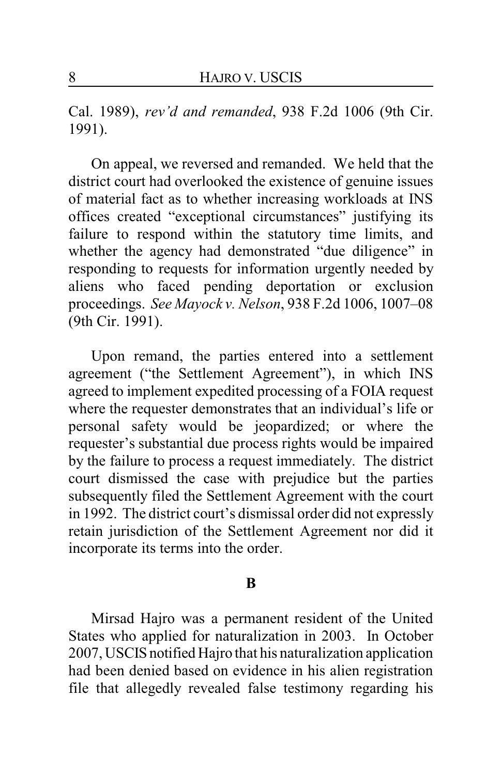Cal. 1989), *rev'd and remanded*, 938 F.2d 1006 (9th Cir. 1991).

On appeal, we reversed and remanded. We held that the district court had overlooked the existence of genuine issues of material fact as to whether increasing workloads at INS offices created "exceptional circumstances" justifying its failure to respond within the statutory time limits, and whether the agency had demonstrated "due diligence" in responding to requests for information urgently needed by aliens who faced pending deportation or exclusion proceedings. *See Mayock v. Nelson*, 938 F.2d 1006, 1007–08 (9th Cir. 1991).

Upon remand, the parties entered into a settlement agreement ("the Settlement Agreement"), in which INS agreed to implement expedited processing of a FOIA request where the requester demonstrates that an individual's life or personal safety would be jeopardized; or where the requester's substantial due process rights would be impaired by the failure to process a request immediately. The district court dismissed the case with prejudice but the parties subsequently filed the Settlement Agreement with the court in 1992. The district court's dismissal order did not expressly retain jurisdiction of the Settlement Agreement nor did it incorporate its terms into the order.

#### **B**

Mirsad Hajro was a permanent resident of the United States who applied for naturalization in 2003. In October 2007, USCIS notified Hajro that his naturalization application had been denied based on evidence in his alien registration file that allegedly revealed false testimony regarding his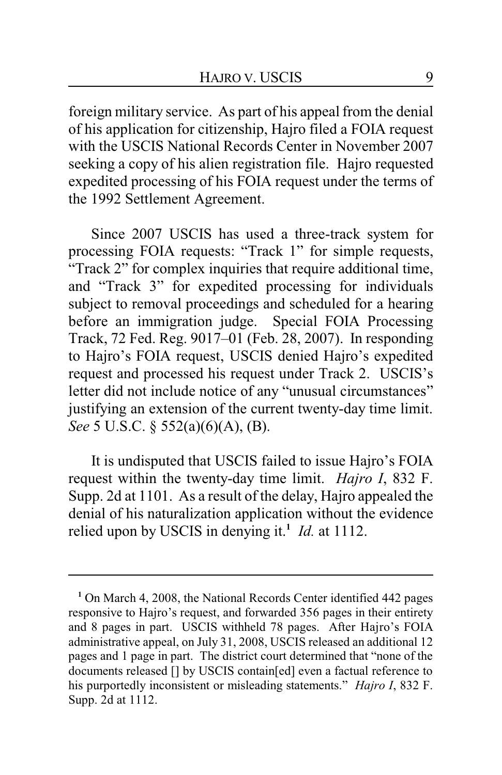foreign military service. As part of his appeal from the denial of his application for citizenship, Hajro filed a FOIA request with the USCIS National Records Center in November 2007 seeking a copy of his alien registration file. Hajro requested expedited processing of his FOIA request under the terms of the 1992 Settlement Agreement.

Since 2007 USCIS has used a three-track system for processing FOIA requests: "Track 1" for simple requests, "Track 2" for complex inquiries that require additional time, and "Track 3" for expedited processing for individuals subject to removal proceedings and scheduled for a hearing before an immigration judge. Special FOIA Processing Track, 72 Fed. Reg. 9017–01 (Feb. 28, 2007). In responding to Hajro's FOIA request, USCIS denied Hajro's expedited request and processed his request under Track 2. USCIS's letter did not include notice of any "unusual circumstances" justifying an extension of the current twenty-day time limit. *See* 5 U.S.C. § 552(a)(6)(A), (B).

It is undisputed that USCIS failed to issue Hajro's FOIA request within the twenty-day time limit. *Hajro I*, 832 F. Supp. 2d at 1101. As a result of the delay, Hajro appealed the denial of his naturalization application without the evidence relied upon by USCIS in denying it.**<sup>1</sup>** *Id.* at 1112.

**<sup>1</sup>** On March 4, 2008, the National Records Center identified 442 pages responsive to Hajro's request, and forwarded 356 pages in their entirety and 8 pages in part. USCIS withheld 78 pages. After Hajro's FOIA administrative appeal, on July 31, 2008, USCIS released an additional 12 pages and 1 page in part. The district court determined that "none of the documents released [] by USCIS contain[ed] even a factual reference to his purportedly inconsistent or misleading statements." *Hajro I*, 832 F. Supp. 2d at 1112.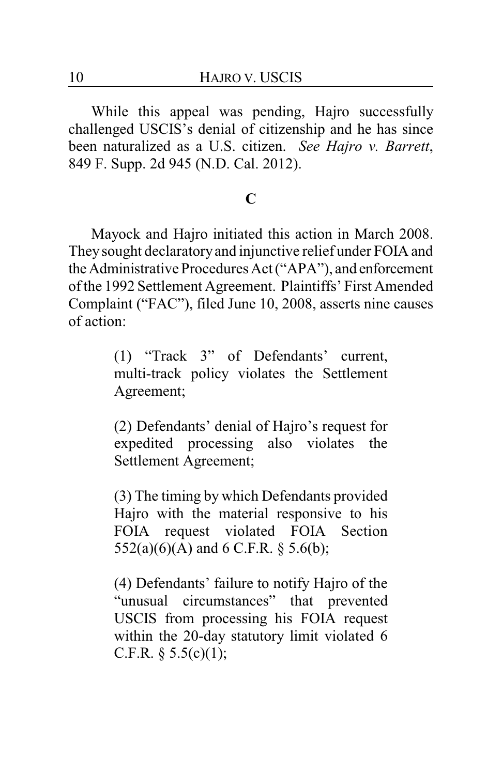While this appeal was pending, Hajro successfully challenged USCIS's denial of citizenship and he has since been naturalized as a U.S. citizen. *See Hajro v. Barrett*, 849 F. Supp. 2d 945 (N.D. Cal. 2012).

## **C**

Mayock and Hajro initiated this action in March 2008. They sought declaratoryand injunctive relief under FOIA and the Administrative Procedures Act ("APA"), and enforcement of the 1992 Settlement Agreement. Plaintiffs' First Amended Complaint ("FAC"), filed June 10, 2008, asserts nine causes of action:

> (1) "Track 3" of Defendants' current, multi-track policy violates the Settlement Agreement;

> (2) Defendants' denial of Hajro's request for expedited processing also violates the Settlement Agreement;

> (3) The timing by which Defendants provided Hajro with the material responsive to his FOIA request violated FOIA Section 552(a)(6)(A) and 6 C.F.R. § 5.6(b);

> (4) Defendants' failure to notify Hajro of the "unusual circumstances" that prevented USCIS from processing his FOIA request within the 20-day statutory limit violated 6 C.F.R.  $\S$  5.5(c)(1);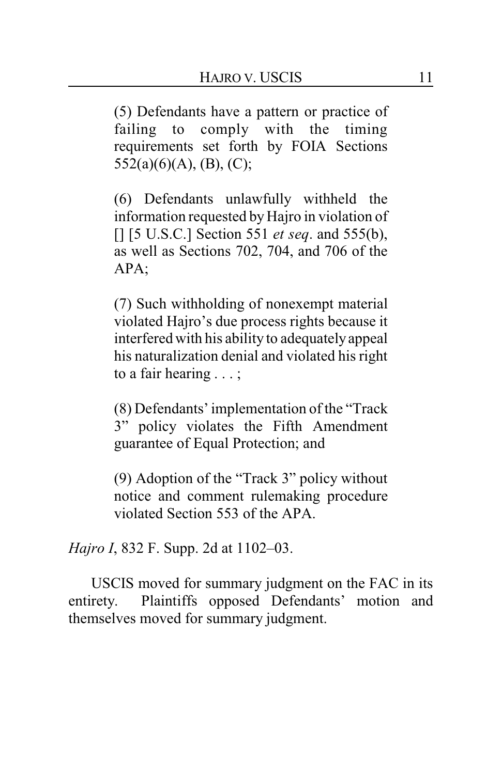(5) Defendants have a pattern or practice of failing to comply with the timing requirements set forth by FOIA Sections  $552(a)(6)(A), (B), (C);$ 

(6) Defendants unlawfully withheld the information requested by Hajro in violation of [] [5 U.S.C.] Section 551 *et seq*. and 555(b), as well as Sections 702, 704, and 706 of the APA;

(7) Such withholding of nonexempt material violated Hajro's due process rights because it interfered with his ability to adequatelyappeal his naturalization denial and violated his right to a fair hearing . . . ;

(8) Defendants' implementation of the "Track 3" policy violates the Fifth Amendment guarantee of Equal Protection; and

(9) Adoption of the "Track 3" policy without notice and comment rulemaking procedure violated Section 553 of the APA.

*Hajro I*, 832 F. Supp. 2d at 1102–03.

USCIS moved for summary judgment on the FAC in its entirety. Plaintiffs opposed Defendants' motion and themselves moved for summary judgment.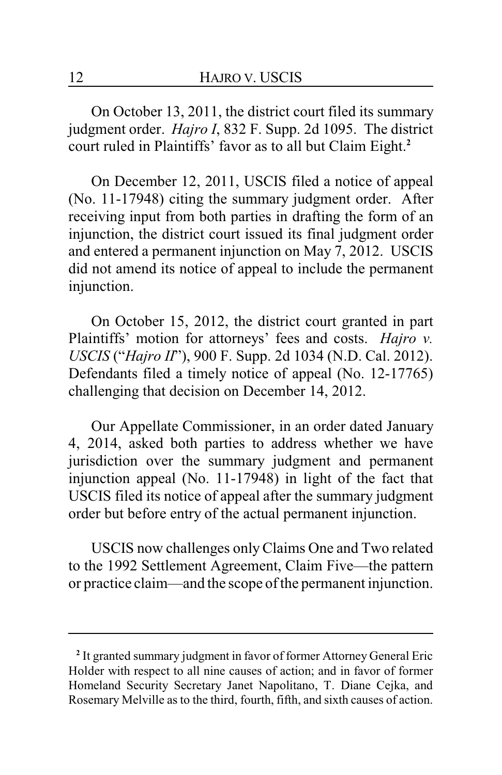On October 13, 2011, the district court filed its summary judgment order. *Hajro I*, 832 F. Supp. 2d 1095. The district court ruled in Plaintiffs' favor as to all but Claim Eight.**<sup>2</sup>**

On December 12, 2011, USCIS filed a notice of appeal (No. 11-17948) citing the summary judgment order. After receiving input from both parties in drafting the form of an injunction, the district court issued its final judgment order and entered a permanent injunction on May 7, 2012. USCIS did not amend its notice of appeal to include the permanent injunction.

On October 15, 2012, the district court granted in part Plaintiffs' motion for attorneys' fees and costs. *Hajro v. USCIS* ("*Hajro II*"), 900 F. Supp. 2d 1034 (N.D. Cal. 2012). Defendants filed a timely notice of appeal (No. 12-17765) challenging that decision on December 14, 2012.

Our Appellate Commissioner, in an order dated January 4, 2014, asked both parties to address whether we have jurisdiction over the summary judgment and permanent injunction appeal (No. 11-17948) in light of the fact that USCIS filed its notice of appeal after the summary judgment order but before entry of the actual permanent injunction.

USCIS now challenges onlyClaims One and Two related to the 1992 Settlement Agreement, Claim Five—the pattern or practice claim—and the scope of the permanent injunction.

**<sup>2</sup>** It granted summary judgment in favor of former Attorney General Eric Holder with respect to all nine causes of action; and in favor of former Homeland Security Secretary Janet Napolitano, T. Diane Cejka, and Rosemary Melville as to the third, fourth, fifth, and sixth causes of action.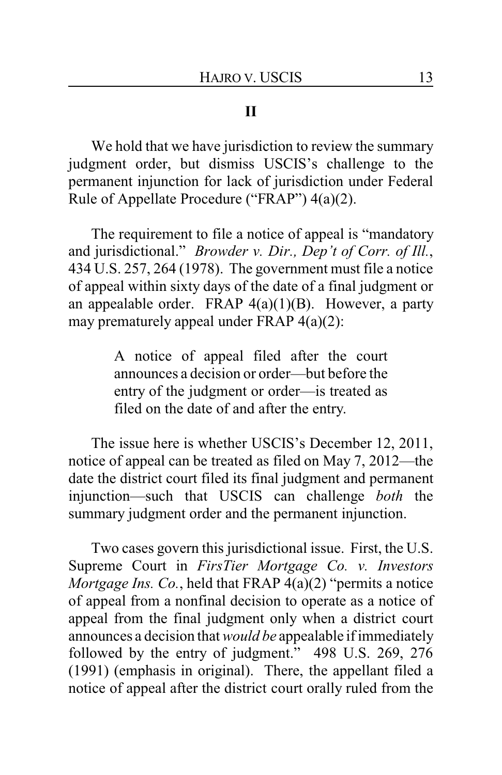# **II**

We hold that we have jurisdiction to review the summary judgment order, but dismiss USCIS's challenge to the permanent injunction for lack of jurisdiction under Federal Rule of Appellate Procedure ("FRAP") 4(a)(2).

The requirement to file a notice of appeal is "mandatory and jurisdictional." *Browder v. Dir., Dep't of Corr. of Ill.*, 434 U.S. 257, 264 (1978). The government must file a notice of appeal within sixty days of the date of a final judgment or an appealable order. FRAP  $4(a)(1)(B)$ . However, a party may prematurely appeal under FRAP 4(a)(2):

> A notice of appeal filed after the court announces a decision or order—but before the entry of the judgment or order—is treated as filed on the date of and after the entry.

The issue here is whether USCIS's December 12, 2011, notice of appeal can be treated as filed on May 7, 2012—the date the district court filed its final judgment and permanent injunction—such that USCIS can challenge *both* the summary judgment order and the permanent injunction.

Two cases govern this jurisdictional issue. First, the U.S. Supreme Court in *FirsTier Mortgage Co. v. Investors Mortgage Ins. Co.*, held that FRAP 4(a)(2) "permits a notice of appeal from a nonfinal decision to operate as a notice of appeal from the final judgment only when a district court announces a decision that *would be* appealable if immediately followed by the entry of judgment." 498 U.S. 269, 276 (1991) (emphasis in original). There, the appellant filed a notice of appeal after the district court orally ruled from the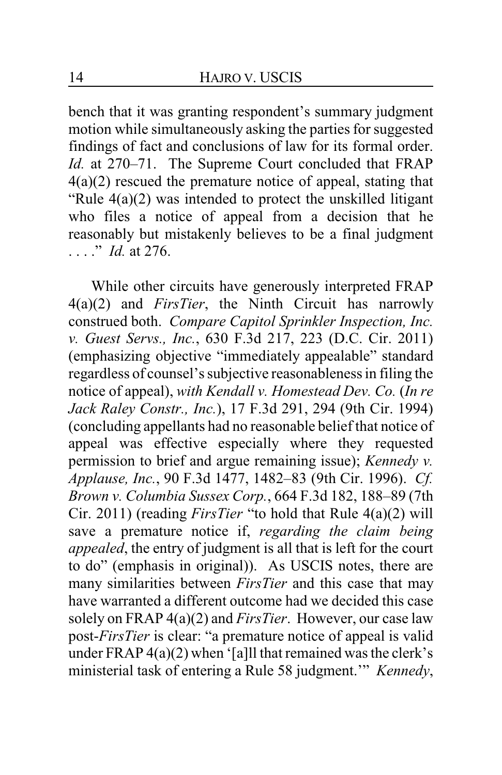bench that it was granting respondent's summary judgment motion while simultaneously asking the parties for suggested findings of fact and conclusions of law for its formal order. *Id.* at 270–71. The Supreme Court concluded that FRAP 4(a)(2) rescued the premature notice of appeal, stating that "Rule 4(a)(2) was intended to protect the unskilled litigant who files a notice of appeal from a decision that he reasonably but mistakenly believes to be a final judgment . . . ." *Id.* at 276.

While other circuits have generously interpreted FRAP 4(a)(2) and *FirsTier*, the Ninth Circuit has narrowly construed both. *Compare Capitol Sprinkler Inspection, Inc. v. Guest Servs., Inc.*, 630 F.3d 217, 223 (D.C. Cir. 2011) (emphasizing objective "immediately appealable" standard regardless of counsel's subjective reasonableness in filing the notice of appeal), *with Kendall v. Homestead Dev. Co.* (*In re Jack Raley Constr., Inc.*), 17 F.3d 291, 294 (9th Cir. 1994) (concluding appellants had no reasonable belief that notice of appeal was effective especially where they requested permission to brief and argue remaining issue); *Kennedy v. Applause, Inc.*, 90 F.3d 1477, 1482–83 (9th Cir. 1996). *Cf. Brown v. Columbia Sussex Corp.*, 664 F.3d 182, 188–89 (7th Cir. 2011) (reading *FirsTier* "to hold that Rule 4(a)(2) will save a premature notice if, *regarding the claim being appealed*, the entry of judgment is all that is left for the court to do" (emphasis in original)). As USCIS notes, there are many similarities between *FirsTier* and this case that may have warranted a different outcome had we decided this case solely on FRAP 4(a)(2) and *FirsTier*. However, our case law post-*FirsTier* is clear: "a premature notice of appeal is valid under FRAP  $4(a)(2)$  when '[a]ll that remained was the clerk's ministerial task of entering a Rule 58 judgment.'" *Kennedy*,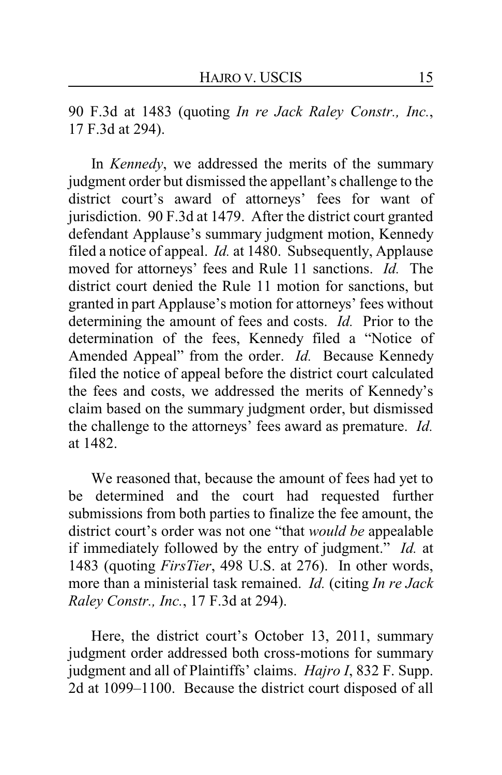90 F.3d at 1483 (quoting *In re Jack Raley Constr., Inc.*, 17 F.3d at 294).

In *Kennedy*, we addressed the merits of the summary judgment order but dismissed the appellant's challenge to the district court's award of attorneys' fees for want of jurisdiction. 90 F.3d at 1479. After the district court granted defendant Applause's summary judgment motion, Kennedy filed a notice of appeal. *Id.* at 1480. Subsequently, Applause moved for attorneys' fees and Rule 11 sanctions. *Id.* The district court denied the Rule 11 motion for sanctions, but granted in part Applause's motion for attorneys' fees without determining the amount of fees and costs. *Id.* Prior to the determination of the fees, Kennedy filed a "Notice of Amended Appeal" from the order. *Id.* Because Kennedy filed the notice of appeal before the district court calculated the fees and costs, we addressed the merits of Kennedy's claim based on the summary judgment order, but dismissed the challenge to the attorneys' fees award as premature. *Id.* at 1482.

We reasoned that, because the amount of fees had yet to be determined and the court had requested further submissions from both parties to finalize the fee amount, the district court's order was not one "that *would be* appealable if immediately followed by the entry of judgment." *Id.* at 1483 (quoting *FirsTier*, 498 U.S. at 276). In other words, more than a ministerial task remained. *Id.* (citing *In re Jack Raley Constr., Inc.*, 17 F.3d at 294).

Here, the district court's October 13, 2011, summary judgment order addressed both cross-motions for summary judgment and all of Plaintiffs' claims. *Hajro I*, 832 F. Supp. 2d at 1099–1100. Because the district court disposed of all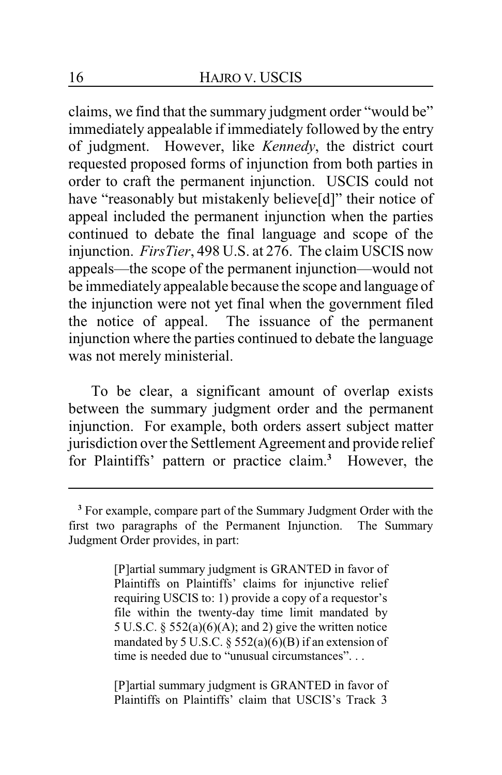claims, we find that the summary judgment order "would be" immediately appealable if immediately followed by the entry of judgment. However, like *Kennedy*, the district court requested proposed forms of injunction from both parties in order to craft the permanent injunction. USCIS could not have "reasonably but mistakenly believe[d]" their notice of appeal included the permanent injunction when the parties continued to debate the final language and scope of the injunction. *FirsTier*, 498 U.S. at 276. The claim USCIS now appeals—the scope of the permanent injunction—would not be immediately appealable because the scope and language of the injunction were not yet final when the government filed the notice of appeal. The issuance of the permanent injunction where the parties continued to debate the language was not merely ministerial.

To be clear, a significant amount of overlap exists between the summary judgment order and the permanent injunction. For example, both orders assert subject matter jurisdiction over the Settlement Agreement and provide relief for Plaintiffs' pattern or practice claim.**<sup>3</sup>** However, the

[P]artial summary judgment is GRANTED in favor of Plaintiffs on Plaintiffs' claims for injunctive relief requiring USCIS to: 1) provide a copy of a requestor's file within the twenty-day time limit mandated by 5 U.S.C.  $\S$  552(a)(6)(A); and 2) give the written notice mandated by 5 U.S.C.  $\S$  552(a)(6)(B) if an extension of time is needed due to "unusual circumstances"...

[P]artial summary judgment is GRANTED in favor of Plaintiffs on Plaintiffs' claim that USCIS's Track 3

**<sup>3</sup>** For example, compare part of the Summary Judgment Order with the first two paragraphs of the Permanent Injunction. The Summary Judgment Order provides, in part: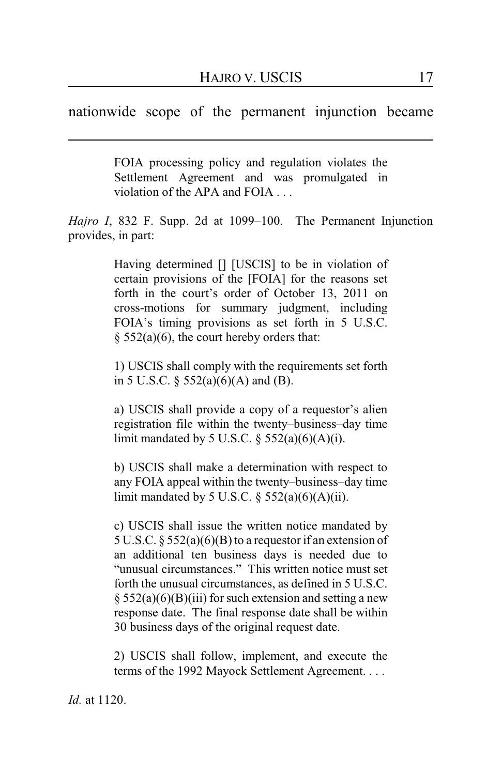nationwide scope of the permanent injunction became

FOIA processing policy and regulation violates the Settlement Agreement and was promulgated in violation of the APA and FOIA . . .

*Hajro I*, 832 F. Supp. 2d at 1099–100. The Permanent Injunction provides, in part:

> Having determined [] [USCIS] to be in violation of certain provisions of the [FOIA] for the reasons set forth in the court's order of October 13, 2011 on cross-motions for summary judgment, including FOIA's timing provisions as set forth in 5 U.S.C.  $§$  552(a)(6), the court hereby orders that:

> 1) USCIS shall comply with the requirements set forth in 5 U.S.C. § 552(a)(6)(A) and (B).

> a) USCIS shall provide a copy of a requestor's alien registration file within the twenty–business–day time limit mandated by 5 U.S.C.  $\S$  552(a)(6)(A)(i).

> b) USCIS shall make a determination with respect to any FOIA appeal within the twenty–business–day time limit mandated by 5 U.S.C.  $\S$  552(a)(6)(A)(ii).

> c) USCIS shall issue the written notice mandated by 5 U.S.C. § 552(a)(6)(B) to a requestor if an extension of an additional ten business days is needed due to "unusual circumstances." This written notice must set forth the unusual circumstances, as defined in 5 U.S.C.  $\S$  552(a)(6)(B)(iii) for such extension and setting a new response date. The final response date shall be within 30 business days of the original request date.

> 2) USCIS shall follow, implement, and execute the terms of the 1992 Mayock Settlement Agreement. . . .

*Id.* at 1120.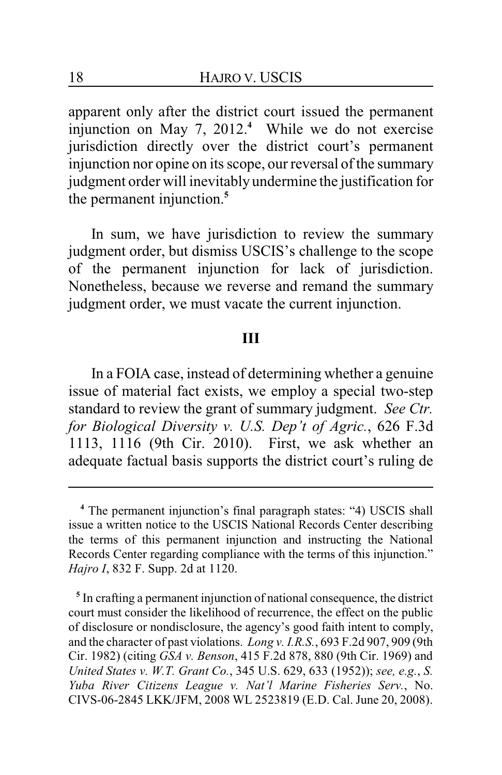apparent only after the district court issued the permanent injunction on May 7, 2012.**<sup>4</sup>** While we do not exercise jurisdiction directly over the district court's permanent injunction nor opine on its scope, our reversal of the summary judgment order will inevitably undermine the justification for the permanent injunction.**<sup>5</sup>**

In sum, we have jurisdiction to review the summary judgment order, but dismiss USCIS's challenge to the scope of the permanent injunction for lack of jurisdiction. Nonetheless, because we reverse and remand the summary judgment order, we must vacate the current injunction.

### **III**

In a FOIA case, instead of determining whether a genuine issue of material fact exists, we employ a special two-step standard to review the grant of summary judgment. *See Ctr. for Biological Diversity v. U.S. Dep't of Agric.*, 626 F.3d 1113, 1116 (9th Cir. 2010). First, we ask whether an adequate factual basis supports the district court's ruling de

**<sup>4</sup>** The permanent injunction's final paragraph states: "4) USCIS shall issue a written notice to the USCIS National Records Center describing the terms of this permanent injunction and instructing the National Records Center regarding compliance with the terms of this injunction." *Hajro I*, 832 F. Supp. 2d at 1120.

**<sup>5</sup>** In crafting a permanent injunction of national consequence, the district court must consider the likelihood of recurrence, the effect on the public of disclosure or nondisclosure, the agency's good faith intent to comply, and the character of past violations. *Long v. I.R.S.*, 693 F.2d 907, 909 (9th Cir. 1982) (citing *GSA v. Benson*, 415 F.2d 878, 880 (9th Cir. 1969) and *United States v. W.T. Grant Co.*, 345 U.S. 629, 633 (1952)); *see, e.g.*, *S. Yuba River Citizens League v. Nat'l Marine Fisheries Serv.*, No. CIVS-06-2845 LKK/JFM, 2008 WL 2523819 (E.D. Cal. June 20, 2008).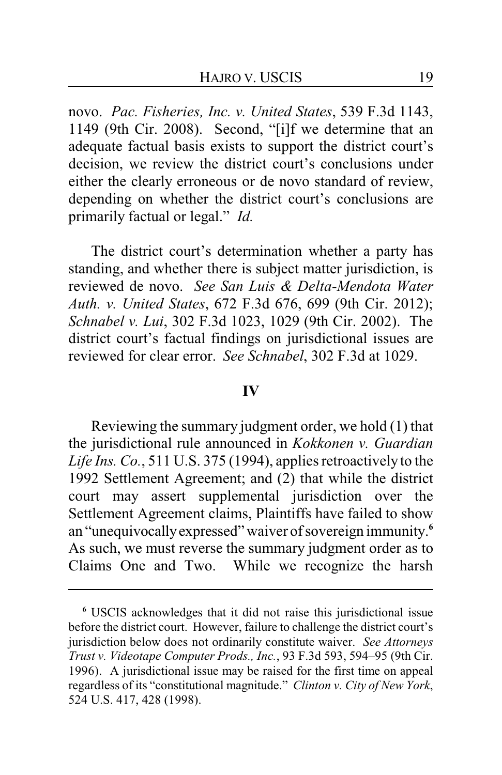novo. *Pac. Fisheries, Inc. v. United States*, 539 F.3d 1143, 1149 (9th Cir. 2008). Second, "[i]f we determine that an adequate factual basis exists to support the district court's decision, we review the district court's conclusions under either the clearly erroneous or de novo standard of review, depending on whether the district court's conclusions are primarily factual or legal." *Id.*

The district court's determination whether a party has standing, and whether there is subject matter jurisdiction, is reviewed de novo. *See San Luis & Delta-Mendota Water Auth. v. United States*, 672 F.3d 676, 699 (9th Cir. 2012); *Schnabel v. Lui*, 302 F.3d 1023, 1029 (9th Cir. 2002). The district court's factual findings on jurisdictional issues are reviewed for clear error. *See Schnabel*, 302 F.3d at 1029.

#### **IV**

Reviewing the summary judgment order, we hold (1) that the jurisdictional rule announced in *Kokkonen v. Guardian Life Ins. Co.*, 511 U.S. 375 (1994), applies retroactively to the 1992 Settlement Agreement; and (2) that while the district court may assert supplemental jurisdiction over the Settlement Agreement claims, Plaintiffs have failed to show an "unequivocallyexpressed" waiver of sovereign immunity. **6** As such, we must reverse the summary judgment order as to Claims One and Two. While we recognize the harsh

**<sup>6</sup>** USCIS acknowledges that it did not raise this jurisdictional issue before the district court. However, failure to challenge the district court's jurisdiction below does not ordinarily constitute waiver. *See Attorneys Trust v. Videotape Computer Prods., Inc.*, 93 F.3d 593, 594–95 (9th Cir. 1996). A jurisdictional issue may be raised for the first time on appeal regardless of its "constitutional magnitude." *Clinton v. City of New York*, 524 U.S. 417, 428 (1998).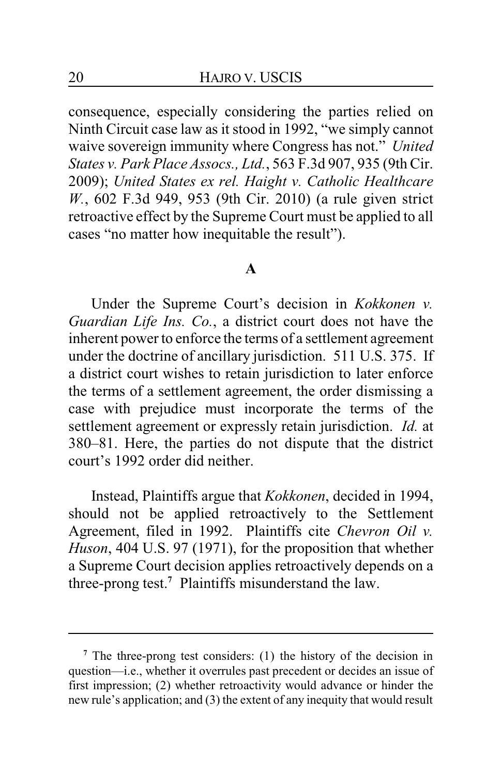consequence, especially considering the parties relied on Ninth Circuit case law as it stood in 1992, "we simply cannot waive sovereign immunity where Congress has not." *United States v. Park Place Assocs., Ltd.*, 563 F.3d 907, 935 (9th Cir. 2009); *United States ex rel. Haight v. Catholic Healthcare W.*, 602 F.3d 949, 953 (9th Cir. 2010) (a rule given strict retroactive effect by the Supreme Court must be applied to all cases "no matter how inequitable the result").

#### **A**

Under the Supreme Court's decision in *Kokkonen v. Guardian Life Ins. Co.*, a district court does not have the inherent power to enforce the terms of a settlement agreement under the doctrine of ancillary jurisdiction. 511 U.S. 375. If a district court wishes to retain jurisdiction to later enforce the terms of a settlement agreement, the order dismissing a case with prejudice must incorporate the terms of the settlement agreement or expressly retain jurisdiction. *Id.* at 380–81. Here, the parties do not dispute that the district court's 1992 order did neither.

Instead, Plaintiffs argue that *Kokkonen*, decided in 1994, should not be applied retroactively to the Settlement Agreement, filed in 1992. Plaintiffs cite *Chevron Oil v. Huson*, 404 U.S. 97 (1971), for the proposition that whether a Supreme Court decision applies retroactively depends on a three-prong test.**<sup>7</sup>** Plaintiffs misunderstand the law.

**<sup>7</sup>** The three-prong test considers: (1) the history of the decision in question—i.e., whether it overrules past precedent or decides an issue of first impression; (2) whether retroactivity would advance or hinder the new rule's application; and (3) the extent of any inequity that would result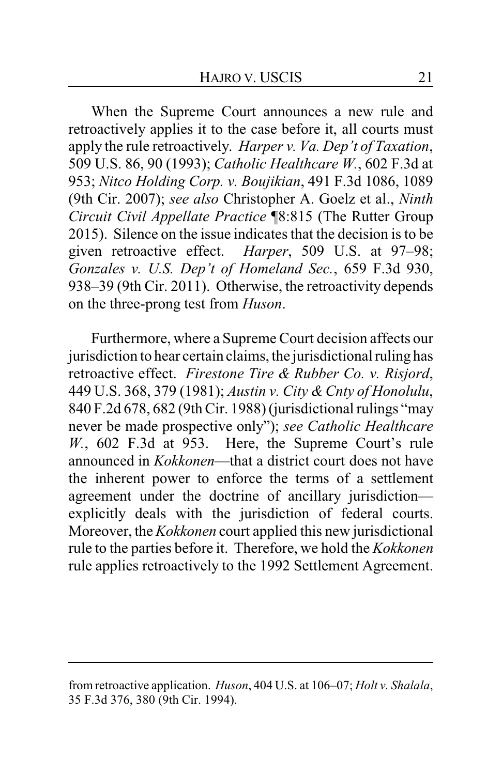When the Supreme Court announces a new rule and retroactively applies it to the case before it, all courts must apply the rule retroactively. *Harper v. Va. Dep't of Taxation*, 509 U.S. 86, 90 (1993); *Catholic Healthcare W.*, 602 F.3d at 953; *Nitco Holding Corp. v. Boujikian*, 491 F.3d 1086, 1089 (9th Cir. 2007); *see also* Christopher A. Goelz et al., *Ninth Circuit Civil Appellate Practice* ¶8:815 (The Rutter Group 2015). Silence on the issue indicates that the decision is to be given retroactive effect. *Harper*, 509 U.S. at 97–98; *Gonzales v. U.S. Dep't of Homeland Sec.*, 659 F.3d 930, 938–39 (9th Cir. 2011). Otherwise, the retroactivity depends on the three-prong test from *Huson*.

Furthermore, where a Supreme Court decision affects our jurisdiction to hear certain claims, the jurisdictional ruling has retroactive effect. *Firestone Tire & Rubber Co. v. Risjord*, 449 U.S. 368, 379 (1981); *Austin v. City & Cnty of Honolulu*, 840 F.2d 678, 682 (9th Cir. 1988) (jurisdictional rulings "may never be made prospective only"); *see Catholic Healthcare W.*, 602 F.3d at 953. Here, the Supreme Court's rule announced in *Kokkonen*—that a district court does not have the inherent power to enforce the terms of a settlement agreement under the doctrine of ancillary jurisdiction explicitly deals with the jurisdiction of federal courts. Moreover, the *Kokkonen* court applied this new jurisdictional rule to the parties before it. Therefore, we hold the *Kokkonen* rule applies retroactively to the 1992 Settlement Agreement.

from retroactive application. *Huson*, 404 U.S. at 106–07; *Holt v. Shalala*, 35 F.3d 376, 380 (9th Cir. 1994).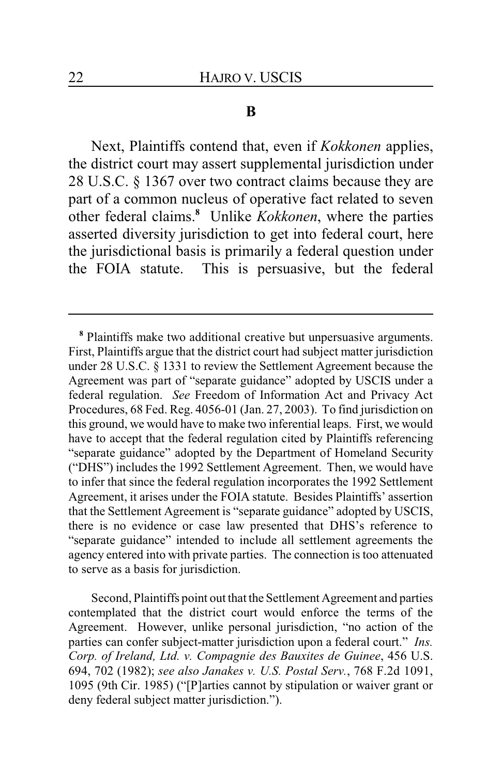#### **B**

Next, Plaintiffs contend that, even if *Kokkonen* applies, the district court may assert supplemental jurisdiction under 28 U.S.C. § 1367 over two contract claims because they are part of a common nucleus of operative fact related to seven other federal claims.**<sup>8</sup>** Unlike *Kokkonen*, where the parties asserted diversity jurisdiction to get into federal court, here the jurisdictional basis is primarily a federal question under the FOIA statute. This is persuasive, but the federal

Second, Plaintiffs point out that the Settlement Agreement and parties contemplated that the district court would enforce the terms of the Agreement. However, unlike personal jurisdiction, "no action of the parties can confer subject-matter jurisdiction upon a federal court." *Ins. Corp. of Ireland, Ltd. v. Compagnie des Bauxites de Guinee*, 456 U.S. 694, 702 (1982); *see also Janakes v. U.S. Postal Serv.*, 768 F.2d 1091, 1095 (9th Cir. 1985) ("[P]arties cannot by stipulation or waiver grant or deny federal subject matter jurisdiction.").

**<sup>8</sup>** Plaintiffs make two additional creative but unpersuasive arguments. First, Plaintiffs argue that the district court had subject matter jurisdiction under 28 U.S.C. § 1331 to review the Settlement Agreement because the Agreement was part of "separate guidance" adopted by USCIS under a federal regulation. *See* Freedom of Information Act and Privacy Act Procedures, 68 Fed. Reg. 4056-01 (Jan. 27, 2003). To find jurisdiction on this ground, we would have to make two inferential leaps. First, we would have to accept that the federal regulation cited by Plaintiffs referencing "separate guidance" adopted by the Department of Homeland Security ("DHS") includes the 1992 Settlement Agreement. Then, we would have to infer that since the federal regulation incorporates the 1992 Settlement Agreement, it arises under the FOIA statute. Besides Plaintiffs' assertion that the Settlement Agreement is "separate guidance" adopted by USCIS, there is no evidence or case law presented that DHS's reference to "separate guidance" intended to include all settlement agreements the agency entered into with private parties. The connection is too attenuated to serve as a basis for jurisdiction.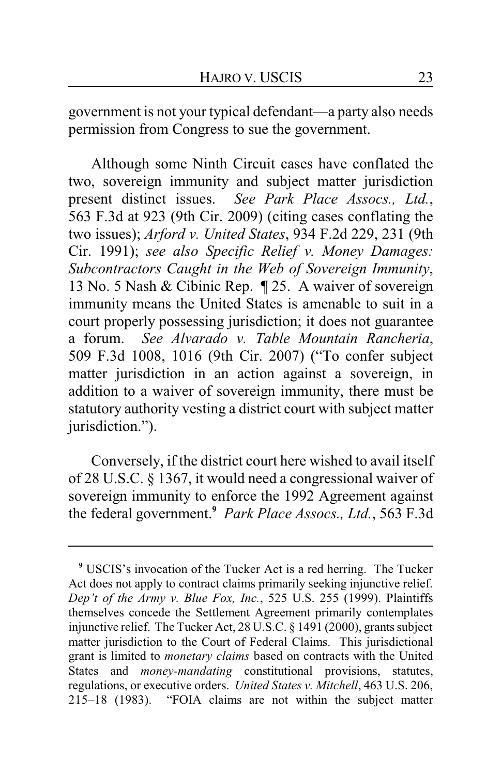government is not your typical defendant—a party also needs permission from Congress to sue the government.

Although some Ninth Circuit cases have conflated the two, sovereign immunity and subject matter jurisdiction present distinct issues. *See Park Place Assocs., Ltd.*, 563 F.3d at 923 (9th Cir. 2009) (citing cases conflating the two issues); *Arford v. United States*, 934 F.2d 229, 231 (9th Cir. 1991); *see also Specific Relief v. Money Damages: Subcontractors Caught in the Web of Sovereign Immunity*, 13 No. 5 Nash & Cibinic Rep. ¶ 25. A waiver of sovereign immunity means the United States is amenable to suit in a court properly possessing jurisdiction; it does not guarantee a forum. *See Alvarado v. Table Mountain Rancheria*, 509 F.3d 1008, 1016 (9th Cir. 2007) ("To confer subject matter jurisdiction in an action against a sovereign, in addition to a waiver of sovereign immunity, there must be statutory authority vesting a district court with subject matter jurisdiction.").

Conversely, if the district court here wished to avail itself of 28 U.S.C. § 1367, it would need a congressional waiver of sovereign immunity to enforce the 1992 Agreement against the federal government.**<sup>9</sup>** *Park Place Assocs., Ltd.*, 563 F.3d

**<sup>9</sup>** USCIS's invocation of the Tucker Act is a red herring. The Tucker Act does not apply to contract claims primarily seeking injunctive relief. *Dep't of the Army v. Blue Fox, Inc.*, 525 U.S. 255 (1999). Plaintiffs themselves concede the Settlement Agreement primarily contemplates injunctive relief. The Tucker Act, 28 U.S.C. § 1491 (2000), grants subject matter jurisdiction to the Court of Federal Claims. This jurisdictional grant is limited to *monetary claims* based on contracts with the United States and *money-mandating* constitutional provisions, statutes, regulations, or executive orders. *United States v. Mitchell*, 463 U.S. 206, 215–18 (1983). "FOIA claims are not within the subject matter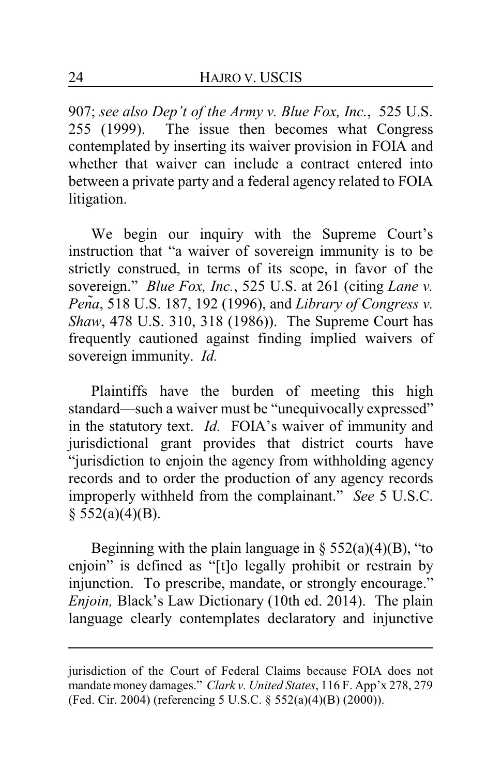907; *see also Dep't of the Army v. Blue Fox, Inc.*, 525 U.S. 255 (1999). The issue then becomes what Congress contemplated by inserting its waiver provision in FOIA and whether that waiver can include a contract entered into between a private party and a federal agency related to FOIA litigation.

We begin our inquiry with the Supreme Court's instruction that "a waiver of sovereign immunity is to be strictly construed, in terms of its scope, in favor of the sovereign." *Blue Fox, Inc.*, 525 U.S. at 261 (citing *Lane v. PenÞa*, 518 U.S. 187, 192 (1996), and *Library of Congress v. Shaw*, 478 U.S. 310, 318 (1986)). The Supreme Court has frequently cautioned against finding implied waivers of sovereign immunity. *Id.*

Plaintiffs have the burden of meeting this high standard—such a waiver must be "unequivocally expressed" in the statutory text. *Id.* FOIA's waiver of immunity and jurisdictional grant provides that district courts have "jurisdiction to enjoin the agency from withholding agency records and to order the production of any agency records improperly withheld from the complainant." *See* 5 U.S.C.  $§$  552(a)(4)(B).

Beginning with the plain language in  $\S 552(a)(4)(B)$ , "to enjoin" is defined as "[t]o legally prohibit or restrain by injunction. To prescribe, mandate, or strongly encourage." *Enjoin,* Black's Law Dictionary (10th ed. 2014). The plain language clearly contemplates declaratory and injunctive

jurisdiction of the Court of Federal Claims because FOIA does not mandate money damages." *Clark v. United States*, 116 F. App'x 278, 279 (Fed. Cir. 2004) (referencing 5 U.S.C. § 552(a)(4)(B) (2000)).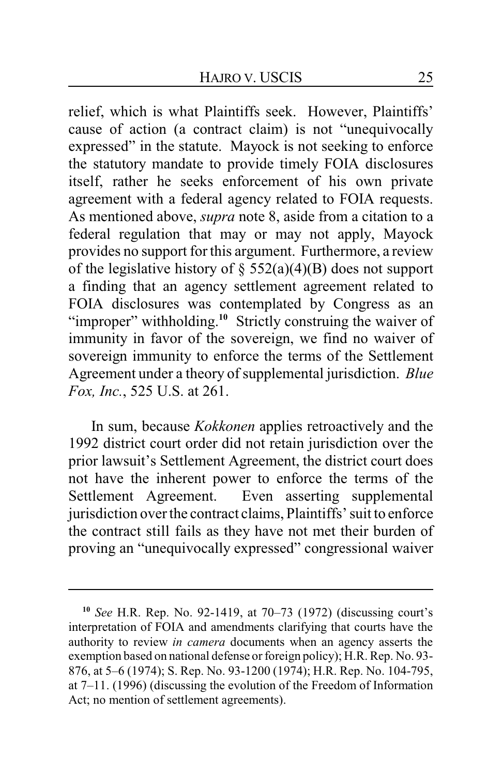relief, which is what Plaintiffs seek. However, Plaintiffs' cause of action (a contract claim) is not "unequivocally expressed" in the statute. Mayock is not seeking to enforce the statutory mandate to provide timely FOIA disclosures itself, rather he seeks enforcement of his own private agreement with a federal agency related to FOIA requests. As mentioned above, *supra* note 8, aside from a citation to a federal regulation that may or may not apply, Mayock provides no support for this argument. Furthermore, a review of the legislative history of  $\S$  552(a)(4)(B) does not support a finding that an agency settlement agreement related to FOIA disclosures was contemplated by Congress as an "improper" withholding.<sup>10</sup> Strictly construing the waiver of immunity in favor of the sovereign, we find no waiver of sovereign immunity to enforce the terms of the Settlement Agreement under a theory of supplemental jurisdiction. *Blue Fox, Inc.*, 525 U.S. at 261.

In sum, because *Kokkonen* applies retroactively and the 1992 district court order did not retain jurisdiction over the prior lawsuit's Settlement Agreement, the district court does not have the inherent power to enforce the terms of the Settlement Agreement. Even asserting supplemental jurisdiction over the contract claims, Plaintiffs' suit to enforce the contract still fails as they have not met their burden of proving an "unequivocally expressed" congressional waiver

**<sup>10</sup>** *See* H.R. Rep. No. 92-1419, at 70–73 (1972) (discussing court's interpretation of FOIA and amendments clarifying that courts have the authority to review *in camera* documents when an agency asserts the exemption based on national defense or foreign policy); H.R. Rep. No. 93- 876, at 5–6 (1974); S. Rep. No. 93-1200 (1974); H.R. Rep. No. 104-795, at 7–11. (1996) (discussing the evolution of the Freedom of Information Act; no mention of settlement agreements).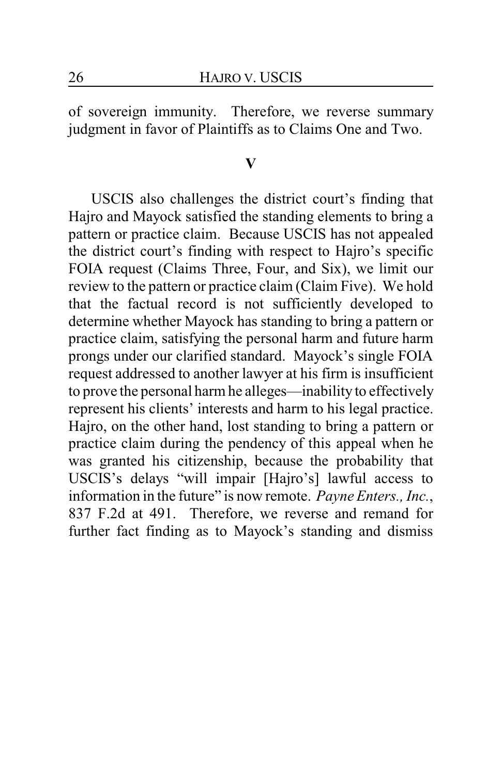of sovereign immunity. Therefore, we reverse summary judgment in favor of Plaintiffs as to Claims One and Two.

#### **V**

USCIS also challenges the district court's finding that Hajro and Mayock satisfied the standing elements to bring a pattern or practice claim. Because USCIS has not appealed the district court's finding with respect to Hajro's specific FOIA request (Claims Three, Four, and Six), we limit our review to the pattern or practice claim (Claim Five). We hold that the factual record is not sufficiently developed to determine whether Mayock has standing to bring a pattern or practice claim, satisfying the personal harm and future harm prongs under our clarified standard. Mayock's single FOIA request addressed to another lawyer at his firm is insufficient to prove the personal harm he alleges—inability to effectively represent his clients' interests and harm to his legal practice. Hajro, on the other hand, lost standing to bring a pattern or practice claim during the pendency of this appeal when he was granted his citizenship, because the probability that USCIS's delays "will impair [Hajro's] lawful access to information in the future" is now remote. *Payne Enters., Inc.*, 837 F.2d at 491. Therefore, we reverse and remand for further fact finding as to Mayock's standing and dismiss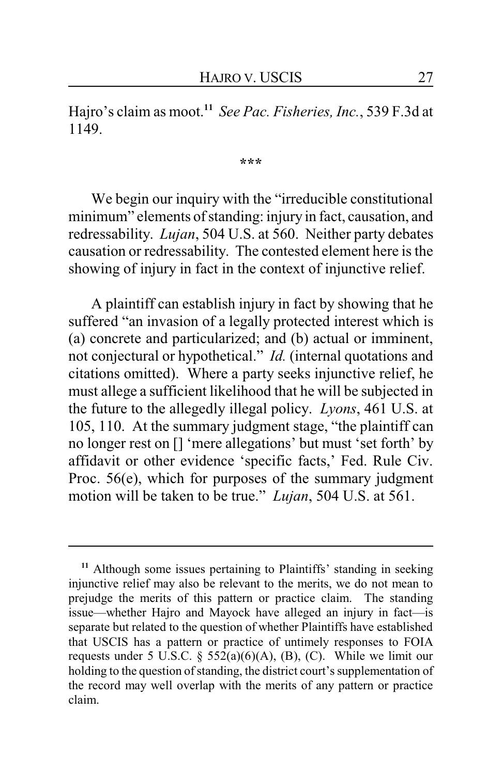Hajro's claim as moot.**<sup>11</sup>** *See Pac. Fisheries, Inc.*, 539 F.3d at 1149.

**\*\*\***

We begin our inquiry with the "irreducible constitutional minimum" elements of standing: injury in fact, causation, and redressability. *Lujan*, 504 U.S. at 560. Neither party debates causation or redressability. The contested element here is the showing of injury in fact in the context of injunctive relief.

A plaintiff can establish injury in fact by showing that he suffered "an invasion of a legally protected interest which is (a) concrete and particularized; and (b) actual or imminent, not conjectural or hypothetical." *Id.* (internal quotations and citations omitted). Where a party seeks injunctive relief, he must allege a sufficient likelihood that he will be subjected in the future to the allegedly illegal policy. *Lyons*, 461 U.S. at 105, 110. At the summary judgment stage, "the plaintiff can no longer rest on [] 'mere allegations' but must 'set forth' by affidavit or other evidence 'specific facts,' Fed. Rule Civ. Proc. 56(e), which for purposes of the summary judgment motion will be taken to be true." *Lujan*, 504 U.S. at 561.

**<sup>11</sup>** Although some issues pertaining to Plaintiffs' standing in seeking injunctive relief may also be relevant to the merits, we do not mean to prejudge the merits of this pattern or practice claim. The standing issue—whether Hajro and Mayock have alleged an injury in fact—is separate but related to the question of whether Plaintiffs have established that USCIS has a pattern or practice of untimely responses to FOIA requests under 5 U.S.C.  $\S$  552(a)(6)(A), (B), (C). While we limit our holding to the question of standing, the district court's supplementation of the record may well overlap with the merits of any pattern or practice claim.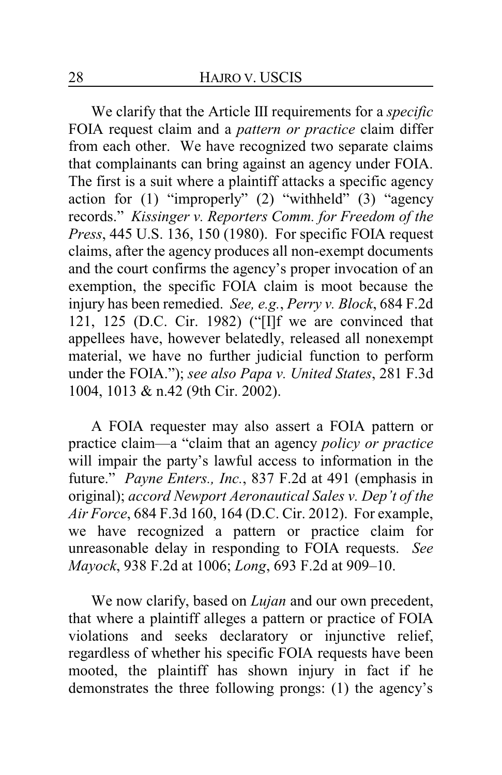We clarify that the Article III requirements for a *specific* FOIA request claim and a *pattern or practice* claim differ from each other. We have recognized two separate claims that complainants can bring against an agency under FOIA. The first is a suit where a plaintiff attacks a specific agency action for (1) "improperly" (2) "withheld" (3) "agency records." *Kissinger v. Reporters Comm. for Freedom of the Press*, 445 U.S. 136, 150 (1980). For specific FOIA request claims, after the agency produces all non-exempt documents and the court confirms the agency's proper invocation of an exemption, the specific FOIA claim is moot because the injury has been remedied. *See, e.g.*, *Perry v. Block*, 684 F.2d 121, 125 (D.C. Cir. 1982) ("[I]f we are convinced that appellees have, however belatedly, released all nonexempt material, we have no further judicial function to perform under the FOIA."); *see also Papa v. United States*, 281 F.3d 1004, 1013 & n.42 (9th Cir. 2002).

A FOIA requester may also assert a FOIA pattern or practice claim—a "claim that an agency *policy or practice* will impair the party's lawful access to information in the future." *Payne Enters., Inc.*, 837 F.2d at 491 (emphasis in original); *accord Newport Aeronautical Sales v. Dep't of the Air Force*, 684 F.3d 160, 164 (D.C. Cir. 2012). For example, we have recognized a pattern or practice claim for unreasonable delay in responding to FOIA requests. *See Mayock*, 938 F.2d at 1006; *Long*, 693 F.2d at 909–10.

We now clarify, based on *Lujan* and our own precedent, that where a plaintiff alleges a pattern or practice of FOIA violations and seeks declaratory or injunctive relief, regardless of whether his specific FOIA requests have been mooted, the plaintiff has shown injury in fact if he demonstrates the three following prongs: (1) the agency's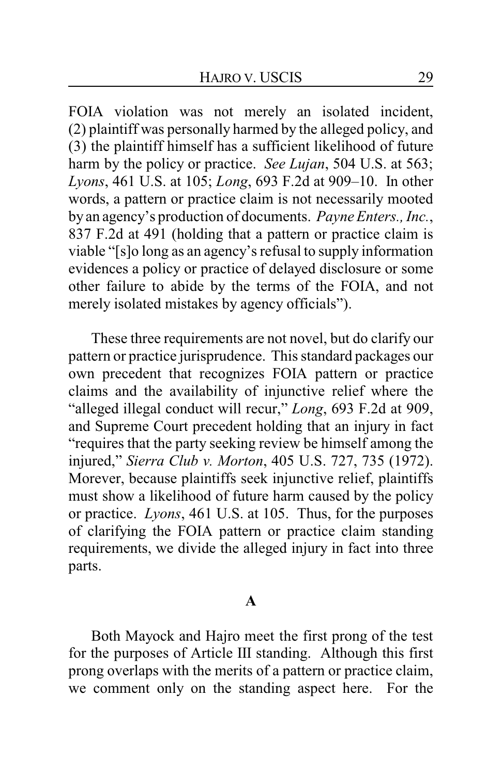FOIA violation was not merely an isolated incident, (2) plaintiff was personally harmed by the alleged policy, and (3) the plaintiff himself has a sufficient likelihood of future harm by the policy or practice. *See Lujan*, 504 U.S. at 563; *Lyons*, 461 U.S. at 105; *Long*, 693 F.2d at 909–10. In other words, a pattern or practice claim is not necessarily mooted by an agency's production of documents. *Payne Enters., Inc.*, 837 F.2d at 491 (holding that a pattern or practice claim is viable "[s]o long as an agency's refusal to supply information evidences a policy or practice of delayed disclosure or some other failure to abide by the terms of the FOIA, and not merely isolated mistakes by agency officials").

These three requirements are not novel, but do clarify our pattern or practice jurisprudence. This standard packages our own precedent that recognizes FOIA pattern or practice claims and the availability of injunctive relief where the "alleged illegal conduct will recur," *Long*, 693 F.2d at 909, and Supreme Court precedent holding that an injury in fact "requires that the party seeking review be himself among the injured," *Sierra Club v. Morton*, 405 U.S. 727, 735 (1972). Morever, because plaintiffs seek injunctive relief, plaintiffs must show a likelihood of future harm caused by the policy or practice. *Lyons*, 461 U.S. at 105. Thus, for the purposes of clarifying the FOIA pattern or practice claim standing requirements, we divide the alleged injury in fact into three parts.

#### **A**

Both Mayock and Hajro meet the first prong of the test for the purposes of Article III standing. Although this first prong overlaps with the merits of a pattern or practice claim, we comment only on the standing aspect here. For the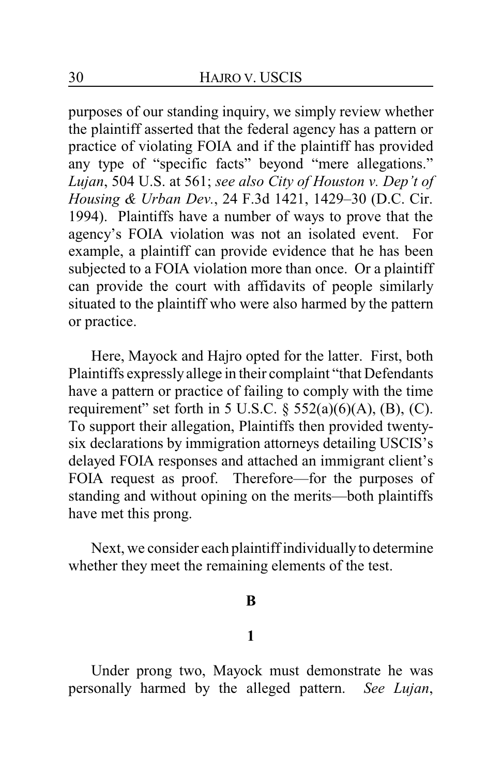purposes of our standing inquiry, we simply review whether the plaintiff asserted that the federal agency has a pattern or practice of violating FOIA and if the plaintiff has provided any type of "specific facts" beyond "mere allegations." *Lujan*, 504 U.S. at 561; *see also City of Houston v. Dep't of Housing & Urban Dev.*, 24 F.3d 1421, 1429–30 (D.C. Cir. 1994). Plaintiffs have a number of ways to prove that the agency's FOIA violation was not an isolated event. For example, a plaintiff can provide evidence that he has been subjected to a FOIA violation more than once. Or a plaintiff can provide the court with affidavits of people similarly situated to the plaintiff who were also harmed by the pattern or practice.

Here, Mayock and Hajro opted for the latter. First, both Plaintiffs expresslyallege in their complaint "that Defendants have a pattern or practice of failing to comply with the time requirement" set forth in 5 U.S.C.  $\S$  552(a)(6)(A), (B), (C). To support their allegation, Plaintiffs then provided twentysix declarations by immigration attorneys detailing USCIS's delayed FOIA responses and attached an immigrant client's FOIA request as proof. Therefore—for the purposes of standing and without opining on the merits—both plaintiffs have met this prong.

Next, we consider each plaintiff individually to determine whether they meet the remaining elements of the test.

#### **B**

#### **1**

Under prong two, Mayock must demonstrate he was personally harmed by the alleged pattern. *See Lujan*,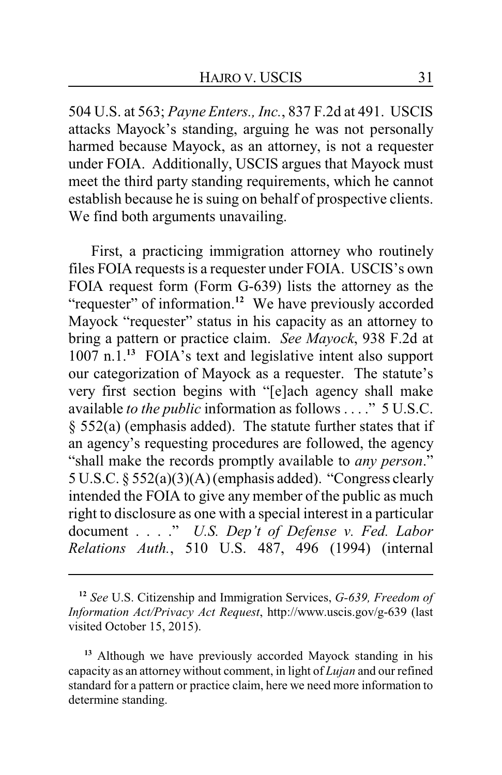504 U.S. at 563; *Payne Enters., Inc.*, 837 F.2d at 491. USCIS attacks Mayock's standing, arguing he was not personally harmed because Mayock, as an attorney, is not a requester under FOIA. Additionally, USCIS argues that Mayock must meet the third party standing requirements, which he cannot establish because he is suing on behalf of prospective clients. We find both arguments unavailing.

First, a practicing immigration attorney who routinely files FOIA requests is a requester under FOIA. USCIS's own FOIA request form (Form G-639) lists the attorney as the "requester" of information.<sup>12</sup> We have previously accorded Mayock "requester" status in his capacity as an attorney to bring a pattern or practice claim. *See Mayock*, 938 F.2d at 1007 n.1.**<sup>13</sup>** FOIA's text and legislative intent also support our categorization of Mayock as a requester. The statute's very first section begins with "[e]ach agency shall make available *to the public* information as follows . . . ." 5 U.S.C. § 552(a) (emphasis added). The statute further states that if an agency's requesting procedures are followed, the agency "shall make the records promptly available to *any person*." 5 U.S.C. § 552(a)(3)(A) (emphasis added). "Congress clearly intended the FOIA to give any member of the public as much right to disclosure as one with a special interest in a particular document . . . ." *U.S. Dep't of Defense v. Fed. Labor Relations Auth.*, 510 U.S. 487, 496 (1994) (internal

**<sup>13</sup>** Although we have previously accorded Mayock standing in his capacity as an attorney without comment, in light of *Lujan* and our refined standard for a pattern or practice claim, here we need more information to determine standing.

**<sup>12</sup>** *See* U.S. Citizenship and Immigration Services, *G-639, Freedom of Information Act/Privacy Act Request*, http://www.uscis.gov/g-639 (last visited October 15, 2015).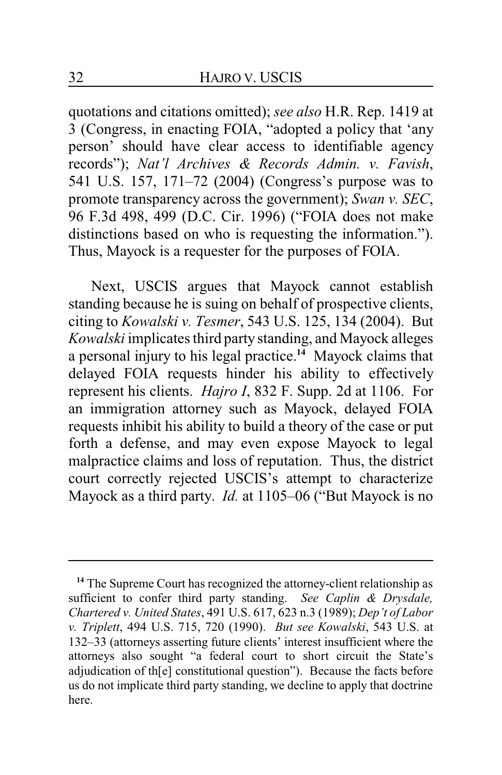quotations and citations omitted); *see also* H.R. Rep. 1419 at 3 (Congress, in enacting FOIA, "adopted a policy that 'any person' should have clear access to identifiable agency records"); *Nat'l Archives & Records Admin. v. Favish*, 541 U.S. 157, 171–72 (2004) (Congress's purpose was to promote transparency across the government); *Swan v. SEC*, 96 F.3d 498, 499 (D.C. Cir. 1996) ("FOIA does not make distinctions based on who is requesting the information."). Thus, Mayock is a requester for the purposes of FOIA.

Next, USCIS argues that Mayock cannot establish standing because he is suing on behalf of prospective clients, citing to *Kowalski v. Tesmer*, 543 U.S. 125, 134 (2004). But *Kowalski* implicates third party standing, and Mayock alleges a personal injury to his legal practice.**<sup>14</sup>** Mayock claims that delayed FOIA requests hinder his ability to effectively represent his clients. *Hajro I*, 832 F. Supp. 2d at 1106. For an immigration attorney such as Mayock, delayed FOIA requests inhibit his ability to build a theory of the case or put forth a defense, and may even expose Mayock to legal malpractice claims and loss of reputation. Thus, the district court correctly rejected USCIS's attempt to characterize Mayock as a third party. *Id.* at 1105–06 ("But Mayock is no

<sup>&</sup>lt;sup>14</sup> The Supreme Court has recognized the attorney-client relationship as sufficient to confer third party standing. *See Caplin & Drysdale, Chartered v. United States*, 491 U.S. 617, 623 n.3 (1989); *Dep't of Labor v. Triplett*, 494 U.S. 715, 720 (1990). *But see Kowalski*, 543 U.S. at 132–33 (attorneys asserting future clients' interest insufficient where the attorneys also sought "a federal court to short circuit the State's adjudication of th[e] constitutional question"). Because the facts before us do not implicate third party standing, we decline to apply that doctrine here.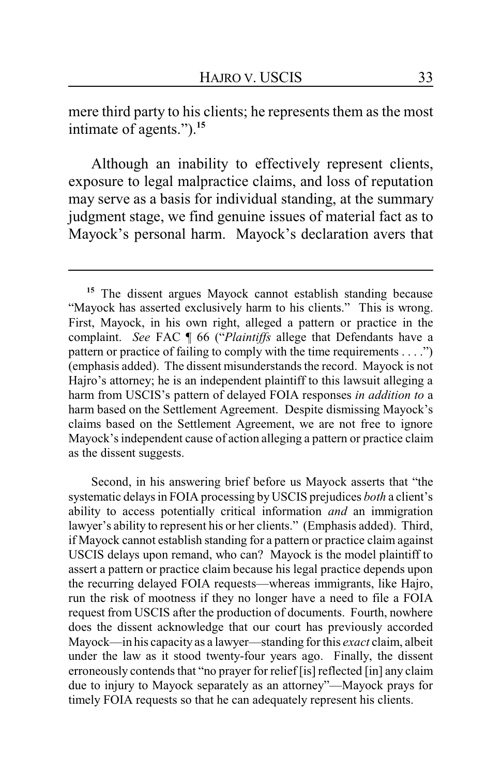mere third party to his clients; he represents them as the most intimate of agents.").**<sup>15</sup>**

Although an inability to effectively represent clients, exposure to legal malpractice claims, and loss of reputation may serve as a basis for individual standing, at the summary judgment stage, we find genuine issues of material fact as to Mayock's personal harm. Mayock's declaration avers that

Second, in his answering brief before us Mayock asserts that "the systematic delays in FOIA processing by USCIS prejudices *both* a client's ability to access potentially critical information *and* an immigration lawyer's ability to represent his or her clients." (Emphasis added). Third, if Mayock cannot establish standing for a pattern or practice claim against USCIS delays upon remand, who can? Mayock is the model plaintiff to assert a pattern or practice claim because his legal practice depends upon the recurring delayed FOIA requests—whereas immigrants, like Hajro, run the risk of mootness if they no longer have a need to file a FOIA request from USCIS after the production of documents. Fourth, nowhere does the dissent acknowledge that our court has previously accorded Mayock—in his capacity as a lawyer—standing for this *exact* claim, albeit under the law as it stood twenty-four years ago. Finally, the dissent erroneously contends that "no prayer for relief [is] reflected [in] any claim due to injury to Mayock separately as an attorney"—Mayock prays for timely FOIA requests so that he can adequately represent his clients.

**<sup>15</sup>** The dissent argues Mayock cannot establish standing because "Mayock has asserted exclusively harm to his clients." This is wrong. First, Mayock, in his own right, alleged a pattern or practice in the complaint. *See* FAC ¶ 66 ("*Plaintiffs* allege that Defendants have a pattern or practice of failing to comply with the time requirements . . . .") (emphasis added). The dissent misunderstands the record. Mayock is not Hajro's attorney; he is an independent plaintiff to this lawsuit alleging a harm from USCIS's pattern of delayed FOIA responses *in addition to* a harm based on the Settlement Agreement. Despite dismissing Mayock's claims based on the Settlement Agreement, we are not free to ignore Mayock's independent cause of action alleging a pattern or practice claim as the dissent suggests.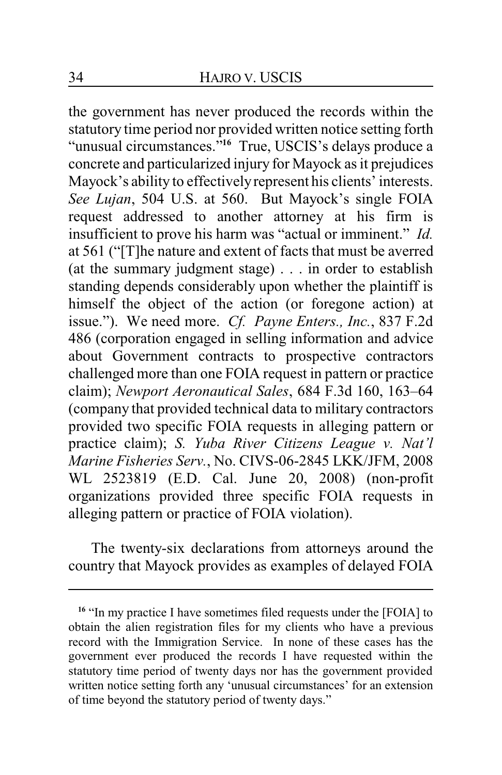the government has never produced the records within the statutory time period nor provided written notice setting forth "unusual circumstances."**<sup>16</sup>** True, USCIS's delays produce a concrete and particularized injury for Mayock as it prejudices Mayock's ability to effectivelyrepresent his clients' interests. *See Lujan*, 504 U.S. at 560. But Mayock's single FOIA request addressed to another attorney at his firm is insufficient to prove his harm was "actual or imminent." *Id.* at 561 ("[T]he nature and extent of facts that must be averred (at the summary judgment stage) . . . in order to establish standing depends considerably upon whether the plaintiff is himself the object of the action (or foregone action) at issue."). We need more. *Cf. Payne Enters., Inc.*, 837 F.2d 486 (corporation engaged in selling information and advice about Government contracts to prospective contractors challenged more than one FOIA request in pattern or practice claim); *Newport Aeronautical Sales*, 684 F.3d 160, 163–64 (company that provided technical data to military contractors provided two specific FOIA requests in alleging pattern or practice claim); *S. Yuba River Citizens League v. Nat'l Marine Fisheries Serv.*, No. CIVS-06-2845 LKK/JFM, 2008 WL 2523819 (E.D. Cal. June 20, 2008) (non-profit organizations provided three specific FOIA requests in alleging pattern or practice of FOIA violation).

The twenty-six declarations from attorneys around the country that Mayock provides as examples of delayed FOIA

<sup>&</sup>lt;sup>16</sup> "In my practice I have sometimes filed requests under the [FOIA] to obtain the alien registration files for my clients who have a previous record with the Immigration Service. In none of these cases has the government ever produced the records I have requested within the statutory time period of twenty days nor has the government provided written notice setting forth any 'unusual circumstances' for an extension of time beyond the statutory period of twenty days."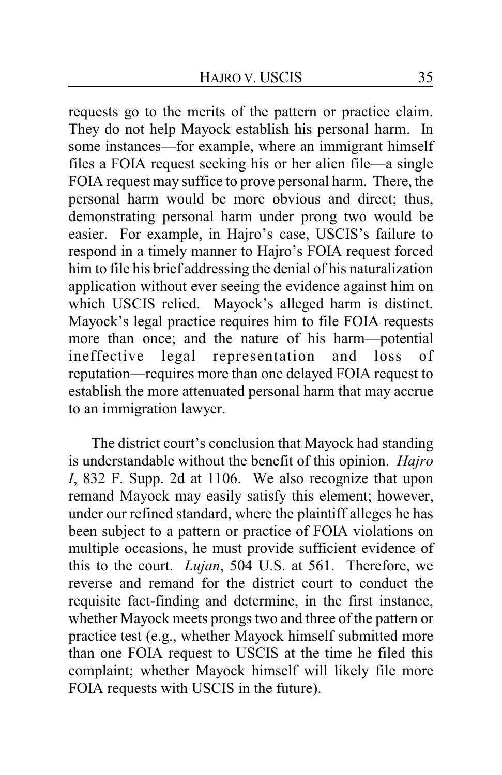requests go to the merits of the pattern or practice claim. They do not help Mayock establish his personal harm. In some instances—for example, where an immigrant himself files a FOIA request seeking his or her alien file—a single FOIA request may suffice to prove personal harm. There, the personal harm would be more obvious and direct; thus, demonstrating personal harm under prong two would be easier. For example, in Hajro's case, USCIS's failure to respond in a timely manner to Hajro's FOIA request forced him to file his brief addressing the denial of his naturalization application without ever seeing the evidence against him on which USCIS relied. Mayock's alleged harm is distinct. Mayock's legal practice requires him to file FOIA requests more than once; and the nature of his harm—potential ineffective legal representation and loss of reputation—requires more than one delayed FOIA request to establish the more attenuated personal harm that may accrue to an immigration lawyer.

The district court's conclusion that Mayock had standing is understandable without the benefit of this opinion. *Hajro I*, 832 F. Supp. 2d at 1106. We also recognize that upon remand Mayock may easily satisfy this element; however, under our refined standard, where the plaintiff alleges he has been subject to a pattern or practice of FOIA violations on multiple occasions, he must provide sufficient evidence of this to the court. *Lujan*, 504 U.S. at 561. Therefore, we reverse and remand for the district court to conduct the requisite fact-finding and determine, in the first instance, whether Mayock meets prongs two and three of the pattern or practice test (e.g., whether Mayock himself submitted more than one FOIA request to USCIS at the time he filed this complaint; whether Mayock himself will likely file more FOIA requests with USCIS in the future).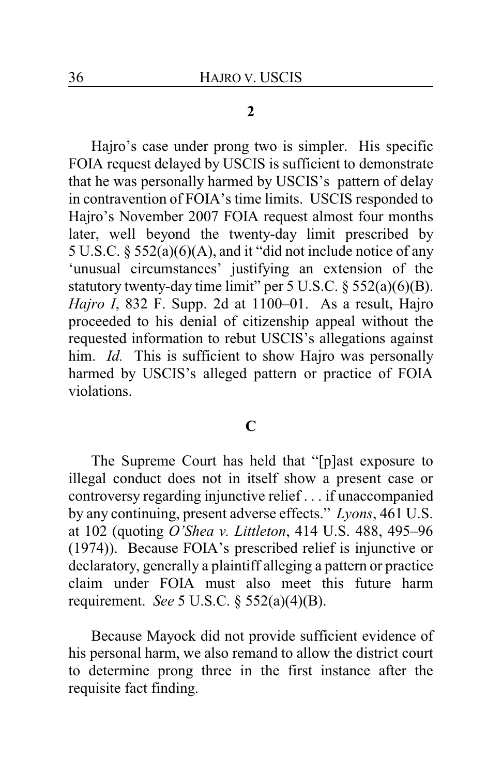#### **2**

Hajro's case under prong two is simpler. His specific FOIA request delayed by USCIS is sufficient to demonstrate that he was personally harmed by USCIS's pattern of delay in contravention of FOIA's time limits. USCIS responded to Hajro's November 2007 FOIA request almost four months later, well beyond the twenty-day limit prescribed by 5 U.S.C. § 552(a)(6)(A), and it "did not include notice of any 'unusual circumstances' justifying an extension of the statutory twenty-day time limit" per 5 U.S.C. § 552(a)(6)(B). *Hajro I*, 832 F. Supp. 2d at 1100–01. As a result, Hajro proceeded to his denial of citizenship appeal without the requested information to rebut USCIS's allegations against him. *Id.* This is sufficient to show Hajro was personally harmed by USCIS's alleged pattern or practice of FOIA violations.

### **C**

The Supreme Court has held that "[p]ast exposure to illegal conduct does not in itself show a present case or controversy regarding injunctive relief . . . if unaccompanied by any continuing, present adverse effects." *Lyons*, 461 U.S. at 102 (quoting *O'Shea v. Littleton*, 414 U.S. 488, 495–96 (1974)). Because FOIA's prescribed relief is injunctive or declaratory, generally a plaintiff alleging a pattern or practice claim under FOIA must also meet this future harm requirement. *See* 5 U.S.C. § 552(a)(4)(B).

Because Mayock did not provide sufficient evidence of his personal harm, we also remand to allow the district court to determine prong three in the first instance after the requisite fact finding.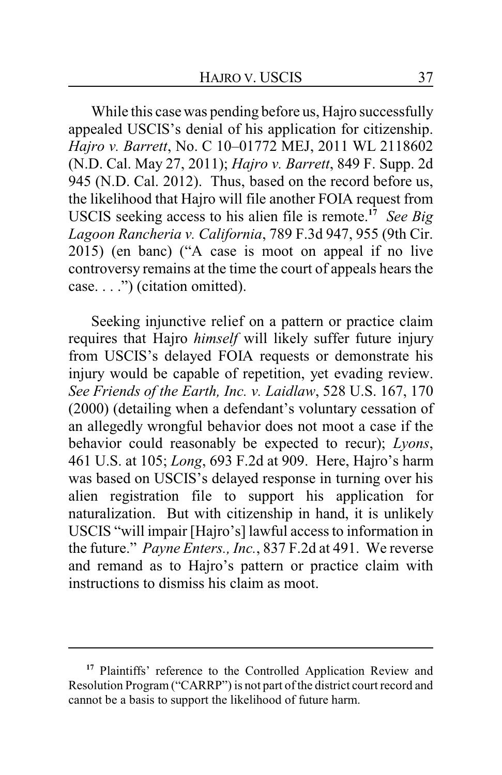While this case was pending before us, Hajro successfully appealed USCIS's denial of his application for citizenship. *Hajro v. Barrett*, No. C 10–01772 MEJ, 2011 WL 2118602 (N.D. Cal. May 27, 2011); *Hajro v. Barrett*, 849 F. Supp. 2d 945 (N.D. Cal. 2012). Thus, based on the record before us, the likelihood that Hajro will file another FOIA request from USCIS seeking access to his alien file is remote. **17** *See Big Lagoon Rancheria v. California*, 789 F.3d 947, 955 (9th Cir. 2015) (en banc) ("A case is moot on appeal if no live controversy remains at the time the court of appeals hears the case. . . .") (citation omitted).

Seeking injunctive relief on a pattern or practice claim requires that Hajro *himself* will likely suffer future injury from USCIS's delayed FOIA requests or demonstrate his injury would be capable of repetition, yet evading review. *See Friends of the Earth, Inc. v. Laidlaw*, 528 U.S. 167, 170 (2000) (detailing when a defendant's voluntary cessation of an allegedly wrongful behavior does not moot a case if the behavior could reasonably be expected to recur); *Lyons*, 461 U.S. at 105; *Long*, 693 F.2d at 909. Here, Hajro's harm was based on USCIS's delayed response in turning over his alien registration file to support his application for naturalization. But with citizenship in hand, it is unlikely USCIS "will impair [Hajro's] lawful access to information in the future." *Payne Enters., Inc.*, 837 F.2d at 491. We reverse and remand as to Hajro's pattern or practice claim with instructions to dismiss his claim as moot.

<sup>&</sup>lt;sup>17</sup> Plaintiffs' reference to the Controlled Application Review and Resolution Program ("CARRP") is not part of the district court record and cannot be a basis to support the likelihood of future harm.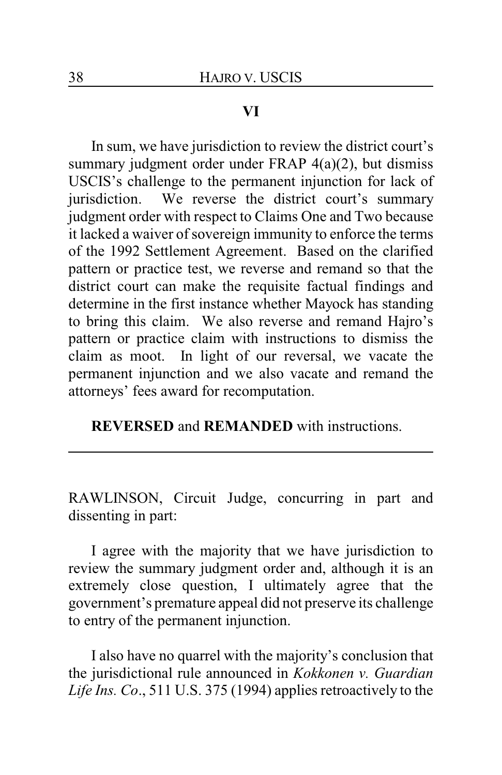### **VI**

In sum, we have jurisdiction to review the district court's summary judgment order under FRAP 4(a)(2), but dismiss USCIS's challenge to the permanent injunction for lack of jurisdiction. We reverse the district court's summary judgment order with respect to Claims One and Two because it lacked a waiver of sovereign immunity to enforce the terms of the 1992 Settlement Agreement. Based on the clarified pattern or practice test, we reverse and remand so that the district court can make the requisite factual findings and determine in the first instance whether Mayock has standing to bring this claim. We also reverse and remand Hajro's pattern or practice claim with instructions to dismiss the claim as moot. In light of our reversal, we vacate the permanent injunction and we also vacate and remand the attorneys' fees award for recomputation.

**REVERSED** and **REMANDED** with instructions.

RAWLINSON, Circuit Judge, concurring in part and dissenting in part:

I agree with the majority that we have jurisdiction to review the summary judgment order and, although it is an extremely close question, I ultimately agree that the government's premature appeal did not preserve its challenge to entry of the permanent injunction.

I also have no quarrel with the majority's conclusion that the jurisdictional rule announced in *Kokkonen v. Guardian Life Ins. Co*., 511 U.S. 375 (1994) applies retroactively to the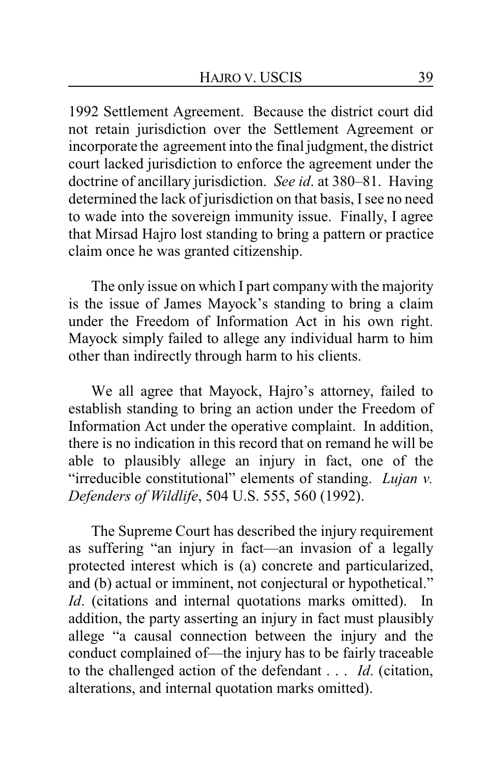1992 Settlement Agreement. Because the district court did not retain jurisdiction over the Settlement Agreement or incorporate the agreement into the final judgment, the district court lacked jurisdiction to enforce the agreement under the doctrine of ancillary jurisdiction. *See id*. at 380–81. Having determined the lack of jurisdiction on that basis, I see no need to wade into the sovereign immunity issue. Finally, I agree that Mirsad Hajro lost standing to bring a pattern or practice claim once he was granted citizenship.

The only issue on which I part company with the majority is the issue of James Mayock's standing to bring a claim under the Freedom of Information Act in his own right. Mayock simply failed to allege any individual harm to him other than indirectly through harm to his clients.

We all agree that Mayock, Hajro's attorney, failed to establish standing to bring an action under the Freedom of Information Act under the operative complaint. In addition, there is no indication in this record that on remand he will be able to plausibly allege an injury in fact, one of the "irreducible constitutional" elements of standing. *Lujan v. Defenders of Wildlife*, 504 U.S. 555, 560 (1992).

The Supreme Court has described the injury requirement as suffering "an injury in fact—an invasion of a legally protected interest which is (a) concrete and particularized, and (b) actual or imminent, not conjectural or hypothetical." *Id*. (citations and internal quotations marks omitted). In addition, the party asserting an injury in fact must plausibly allege "a causal connection between the injury and the conduct complained of—the injury has to be fairly traceable to the challenged action of the defendant . . . *Id*. (citation, alterations, and internal quotation marks omitted).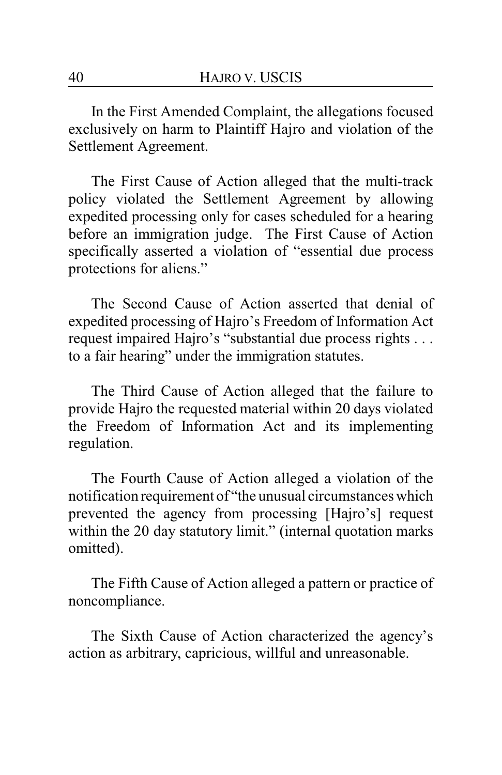In the First Amended Complaint, the allegations focused exclusively on harm to Plaintiff Hajro and violation of the Settlement Agreement.

The First Cause of Action alleged that the multi-track policy violated the Settlement Agreement by allowing expedited processing only for cases scheduled for a hearing before an immigration judge. The First Cause of Action specifically asserted a violation of "essential due process protections for aliens."

The Second Cause of Action asserted that denial of expedited processing of Hajro's Freedom of Information Act request impaired Hajro's "substantial due process rights . . . to a fair hearing" under the immigration statutes.

The Third Cause of Action alleged that the failure to provide Hajro the requested material within 20 days violated the Freedom of Information Act and its implementing regulation.

The Fourth Cause of Action alleged a violation of the notification requirement of "the unusual circumstances which prevented the agency from processing [Hajro's] request within the 20 day statutory limit." (internal quotation marks omitted).

The Fifth Cause of Action alleged a pattern or practice of noncompliance.

The Sixth Cause of Action characterized the agency's action as arbitrary, capricious, willful and unreasonable.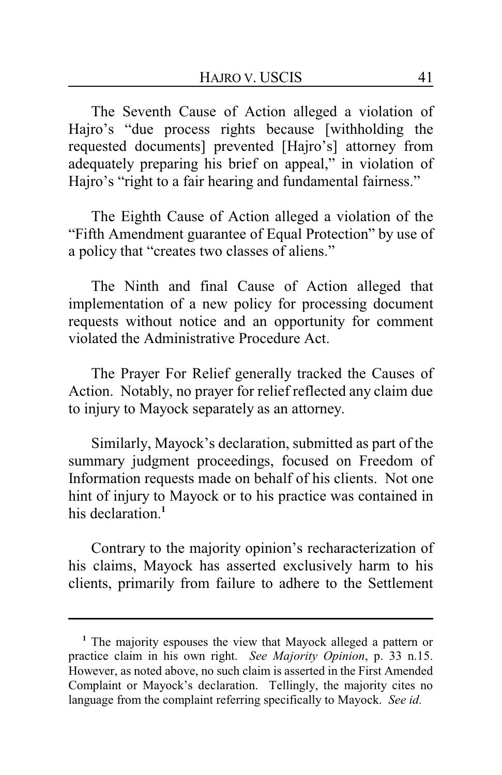The Seventh Cause of Action alleged a violation of Hajro's "due process rights because [withholding the requested documents] prevented [Hajro's] attorney from adequately preparing his brief on appeal," in violation of Hajro's "right to a fair hearing and fundamental fairness."

The Eighth Cause of Action alleged a violation of the "Fifth Amendment guarantee of Equal Protection" by use of a policy that "creates two classes of aliens."

The Ninth and final Cause of Action alleged that implementation of a new policy for processing document requests without notice and an opportunity for comment violated the Administrative Procedure Act.

The Prayer For Relief generally tracked the Causes of Action. Notably, no prayer for relief reflected any claim due to injury to Mayock separately as an attorney.

Similarly, Mayock's declaration, submitted as part of the summary judgment proceedings, focused on Freedom of Information requests made on behalf of his clients. Not one hint of injury to Mayock or to his practice was contained in his declaration.**<sup>1</sup>**

Contrary to the majority opinion's recharacterization of his claims, Mayock has asserted exclusively harm to his clients, primarily from failure to adhere to the Settlement

**<sup>1</sup>** The majority espouses the view that Mayock alleged a pattern or practice claim in his own right. *See Majority Opinion*, p. 33 n.15. However, as noted above, no such claim is asserted in the First Amended Complaint or Mayock's declaration. Tellingly, the majority cites no language from the complaint referring specifically to Mayock. *See id.*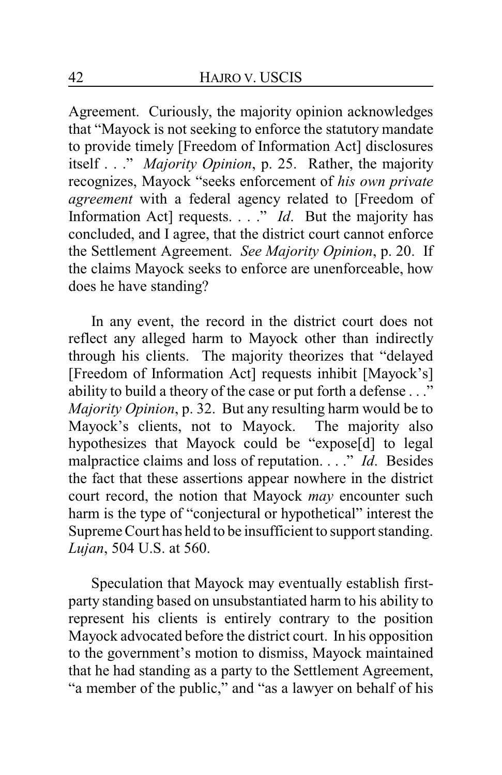Agreement. Curiously, the majority opinion acknowledges that "Mayock is not seeking to enforce the statutory mandate to provide timely [Freedom of Information Act] disclosures itself . . ." *Majority Opinion*, p. 25. Rather, the majority recognizes, Mayock "seeks enforcement of *his own private agreement* with a federal agency related to [Freedom of Information Act] requests. . . ." *Id*. But the majority has concluded, and I agree, that the district court cannot enforce the Settlement Agreement. *See Majority Opinion*, p. 20. If the claims Mayock seeks to enforce are unenforceable, how does he have standing?

In any event, the record in the district court does not reflect any alleged harm to Mayock other than indirectly through his clients. The majority theorizes that "delayed [Freedom of Information Act] requests inhibit [Mayock's] ability to build a theory of the case or put forth a defense . . ." *Majority Opinion*, p. 32. But any resulting harm would be to Mayock's clients, not to Mayock. The majority also hypothesizes that Mayock could be "expose[d] to legal malpractice claims and loss of reputation. . . ." *Id*. Besides the fact that these assertions appear nowhere in the district court record, the notion that Mayock *may* encounter such harm is the type of "conjectural or hypothetical" interest the Supreme Court has held to be insufficient to support standing. *Lujan*, 504 U.S. at 560.

Speculation that Mayock may eventually establish firstparty standing based on unsubstantiated harm to his ability to represent his clients is entirely contrary to the position Mayock advocated before the district court. In his opposition to the government's motion to dismiss, Mayock maintained that he had standing as a party to the Settlement Agreement, "a member of the public," and "as a lawyer on behalf of his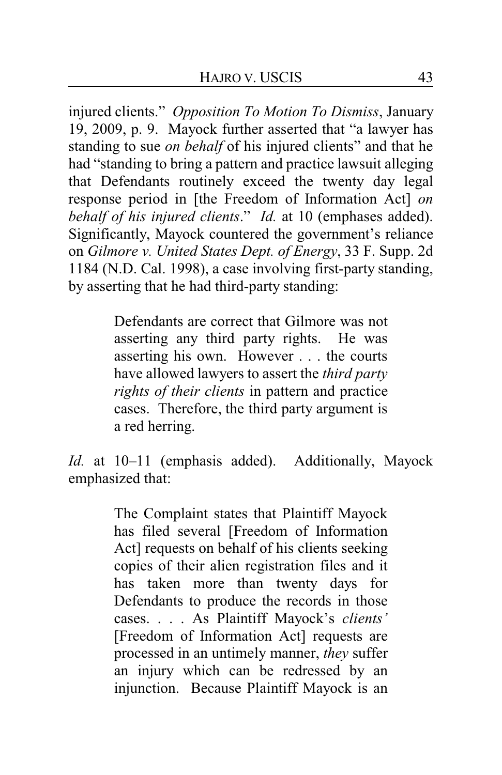injured clients." *Opposition To Motion To Dismiss*, January 19, 2009, p. 9. Mayock further asserted that "a lawyer has standing to sue *on behalf* of his injured clients" and that he had "standing to bring a pattern and practice lawsuit alleging that Defendants routinely exceed the twenty day legal response period in [the Freedom of Information Act] *on behalf of his injured clients*." *Id.* at 10 (emphases added). Significantly, Mayock countered the government's reliance on *Gilmore v. United States Dept. of Energy*, 33 F. Supp. 2d 1184 (N.D. Cal. 1998), a case involving first-party standing, by asserting that he had third-party standing:

> Defendants are correct that Gilmore was not asserting any third party rights. He was asserting his own. However . . . the courts have allowed lawyers to assert the *third party rights of their clients* in pattern and practice cases. Therefore, the third party argument is a red herring.

*Id.* at 10–11 (emphasis added). Additionally, Mayock emphasized that:

> The Complaint states that Plaintiff Mayock has filed several [Freedom of Information Act] requests on behalf of his clients seeking copies of their alien registration files and it has taken more than twenty days for Defendants to produce the records in those cases. . . . As Plaintiff Mayock's *clients'* [Freedom of Information Act] requests are processed in an untimely manner, *they* suffer an injury which can be redressed by an injunction. Because Plaintiff Mayock is an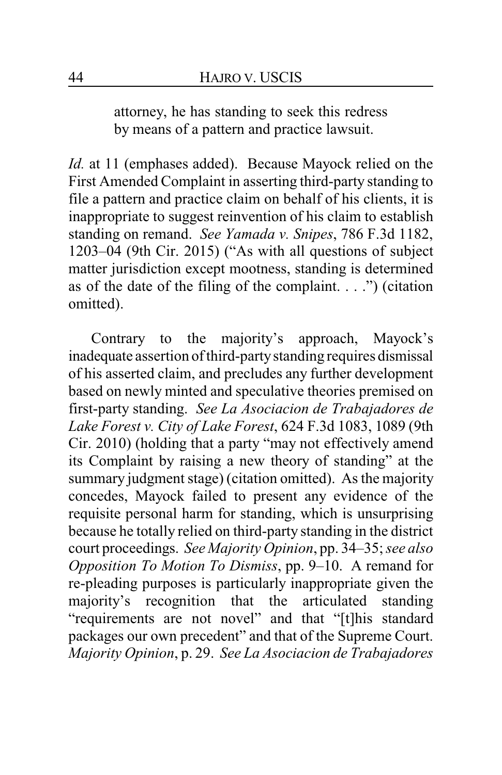attorney, he has standing to seek this redress by means of a pattern and practice lawsuit.

*Id.* at 11 (emphases added). Because Mayock relied on the First Amended Complaint in asserting third-party standing to file a pattern and practice claim on behalf of his clients, it is inappropriate to suggest reinvention of his claim to establish standing on remand. *See Yamada v. Snipes*, 786 F.3d 1182, 1203–04 (9th Cir. 2015) ("As with all questions of subject matter jurisdiction except mootness, standing is determined as of the date of the filing of the complaint.  $\ldots$ ") (citation omitted).

Contrary to the majority's approach, Mayock's inadequate assertion of third-partystanding requires dismissal of his asserted claim, and precludes any further development based on newly minted and speculative theories premised on first-party standing. *See La Asociacion de Trabajadores de Lake Forest v. City of Lake Forest*, 624 F.3d 1083, 1089 (9th Cir. 2010) (holding that a party "may not effectively amend its Complaint by raising a new theory of standing" at the summary judgment stage) (citation omitted). As the majority concedes, Mayock failed to present any evidence of the requisite personal harm for standing, which is unsurprising because he totally relied on third-party standing in the district court proceedings. *See Majority Opinion*, pp. 34–35; *see also Opposition To Motion To Dismiss*, pp. 9–10. A remand for re-pleading purposes is particularly inappropriate given the majority's recognition that the articulated standing "requirements are not novel" and that "[t]his standard packages our own precedent" and that of the Supreme Court. *Majority Opinion*, p. 29. *See La Asociacion de Trabajadores*